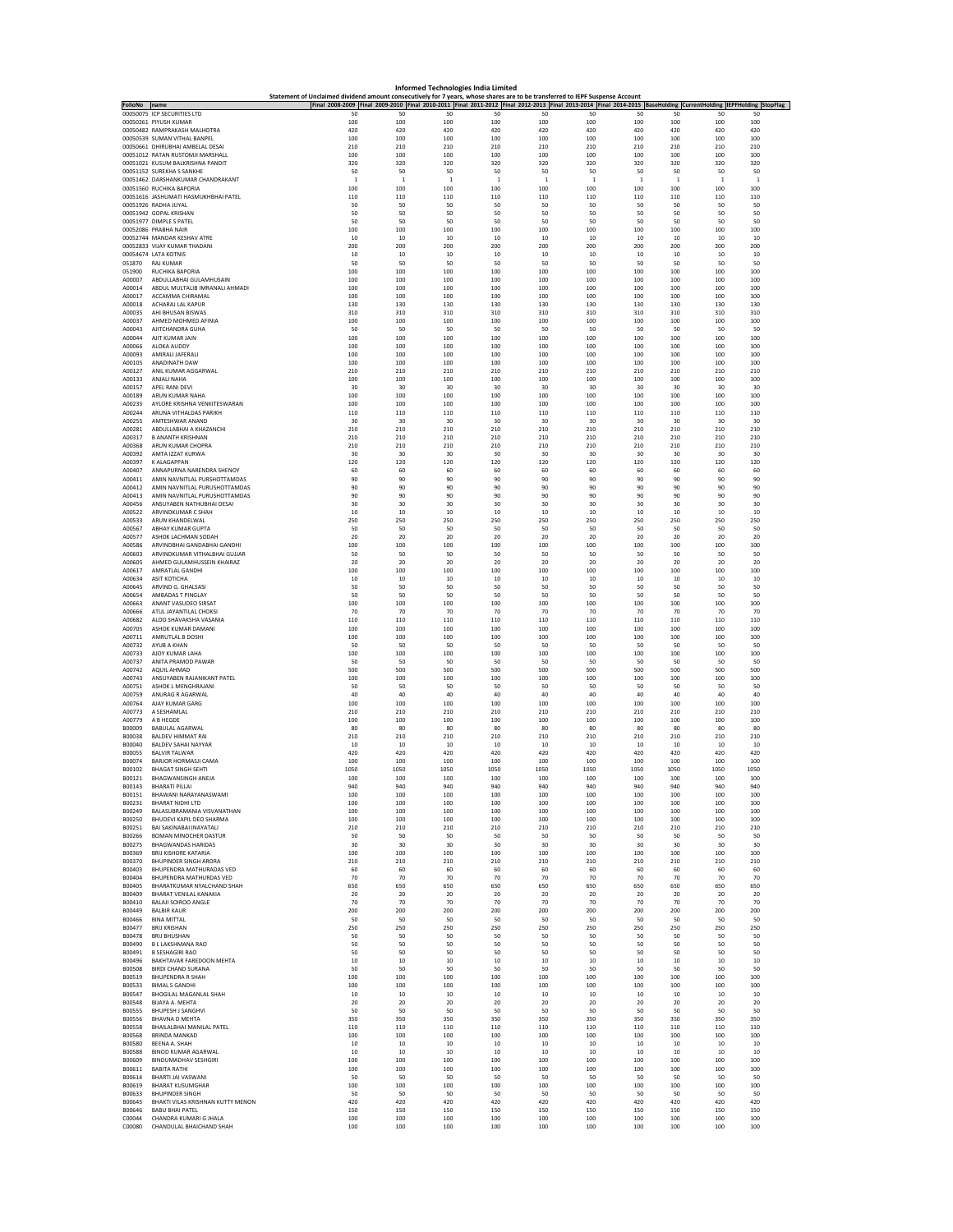|                  | Informed Technologies India Limited<br>Statement of Unclaimed dividend amount consecutively for 7 years, whose shares are to be transferred to IEPF Suspense Account |                       |                                                                                                                                                                 |                     |                       |                       |                     |                       |                       |                       |                     |  |
|------------------|----------------------------------------------------------------------------------------------------------------------------------------------------------------------|-----------------------|-----------------------------------------------------------------------------------------------------------------------------------------------------------------|---------------------|-----------------------|-----------------------|---------------------|-----------------------|-----------------------|-----------------------|---------------------|--|
| FolioNo          | name                                                                                                                                                                 |                       | Final 2008-2009 Final 2009-2010 Final 2010-2011 Final 2011-2012 Final 2012-2013 Final 2013-2014 Final 2014-2015 BaseHolding CurrentHolding IEPFHolding StopFlag |                     |                       |                       |                     |                       |                       |                       |                     |  |
|                  | 00050075 ICP SECURITIES LTD<br>00050261 PIYUSH KUMAR                                                                                                                 | 50<br>100             | 50<br>100                                                                                                                                                       | 50<br>100           | 50<br>100             | 50<br>100             | 50<br>100           | 50<br>100             | 50<br>100             | 50<br>100             | 50<br>100           |  |
|                  | 00050482 RAMPRAKASH MALHOTRA                                                                                                                                         | 420                   | 420                                                                                                                                                             | 420                 | 420                   | 420                   | 420                 | 420                   | 420                   | 420                   | 420                 |  |
|                  | 00050539 SUMAN VITHAL BANPEL<br>00050661 DHIRUBHAI AMBELAL DESAI                                                                                                     | 100<br>210            | 100<br>210                                                                                                                                                      | 100<br>210          | 100<br>210            | 100<br>210            | 100<br>210          | 100<br>210            | 100<br>210            | 100<br>210            | 100<br>210          |  |
|                  | 00051012 RATAN RUSTOMJI MARSHALL<br>00051021 KUSUM BALKRISHNA PANDIT                                                                                                 | 100<br>320            | 100<br>320                                                                                                                                                      | 100<br>320          | 100<br>320            | 100<br>320            | 100<br>320          | 100<br>320            | 100<br>320            | 100<br>320            | 100<br>320          |  |
|                  | 00051152 SUREKHA S SANKHE<br>00051462 DARSHANKUMAR CHANDRAKANT                                                                                                       | 50                    | 50                                                                                                                                                              | 50                  | 50                    | 50                    | 50                  | 50                    | 50                    | 50                    | 50                  |  |
|                  | 00051560 RUCHIKA BAPORIA                                                                                                                                             | $\overline{1}$<br>100 | $\overline{1}$<br>100                                                                                                                                           | $\mathbf{1}$<br>100 | $\overline{1}$<br>100 | $\overline{1}$<br>100 | $\mathbf{1}$<br>100 | $\overline{1}$<br>100 | $\overline{1}$<br>100 | $\overline{1}$<br>100 | $\mathbf{1}$<br>100 |  |
|                  | 00051616 JASHUMATI HASMUKHBHAI PATEL<br>00051926 RADHA JUYAL                                                                                                         | 110<br>50             | 110<br>50                                                                                                                                                       | 110<br>50           | 110<br>50             | 110<br>50             | 110<br>50           | 110<br>-50            | 110<br>50             | 110<br>-50            | 110<br>50           |  |
|                  | 00051942 GOPAL KRISHAN                                                                                                                                               | 50                    | 50                                                                                                                                                              | 50                  | 50                    | 50                    | 50                  | 50                    | 50                    | 50                    | 50                  |  |
|                  | 00051977 DIMPLE S PATEL<br>00052086 PRABHA NAIR                                                                                                                      | 50<br>100             | 50<br>100                                                                                                                                                       | 50<br>100           | 50<br>100             | 50<br>100             | 50<br>100           | 50<br>100             | 50<br>100             | 50<br>100             | 50<br>100           |  |
|                  | 00052744 MANDAR KESHAV ATRE<br>00052833 VIJAY KUMAR THADANI                                                                                                          | 10<br>200             | 10<br>200                                                                                                                                                       | 10<br>200           | 10<br>200             | 10<br>200             | 10<br>200           | 10<br>200             | 10<br>200             | 10<br>200             | 10<br>200           |  |
|                  | 00054674 LATA KOTNIS                                                                                                                                                 | 10                    | 10                                                                                                                                                              | $10$                | 10                    | $10$                  | $10\,$              | 10                    | 10                    | 10                    | 10                  |  |
| 051870           | <b>RAJ KUMAR</b>                                                                                                                                                     | 50                    | 50                                                                                                                                                              | 50                  | 50                    | 50                    | 50                  | 50                    | 50                    | -50                   | 50                  |  |
| 051900           | RUCHIKA BAPORIA                                                                                                                                                      | 100                   | 100                                                                                                                                                             | 100                 | 100                   | 100                   | 100                 | 100                   | 100                   | 100                   | 100                 |  |
| A00007           | ABDULLABHAI GULAMHUSAIN                                                                                                                                              | 100                   | 100                                                                                                                                                             | 100                 | 100                   | 100                   | 100                 | 100                   | 100                   | 100                   | 100                 |  |
| A00014           | ABDUL MULTALIB IMRANALI AHMADI                                                                                                                                       | 100                   | 100                                                                                                                                                             | 100                 | 100                   | 100                   | 100                 | 100                   | 100                   | 100                   | 100                 |  |
| A00017           | ACCAMMA CHIRAMAL                                                                                                                                                     | 100                   | 100                                                                                                                                                             | 100                 | 100                   | 100                   | 100                 | 100                   | 100                   | 100                   | 100                 |  |
| A00018           | ACHARAJ LAL KAPUR                                                                                                                                                    | 130                   | 130                                                                                                                                                             | 130                 | 130                   | 130                   | 130                 | 130                   | 130                   | 130                   | 130                 |  |
| A00035           | AHI BHUSAN BISWAS                                                                                                                                                    | 310                   | 310                                                                                                                                                             | 310                 | 310                   | 310                   | 310                 | 310                   | 310                   | 310                   | 310                 |  |
| A00037           | AHMED MOHMED AFINIA                                                                                                                                                  | 100                   | 100                                                                                                                                                             | 100                 | 100                   | 100                   | 100                 | 100                   | 100                   | 100                   | 100                 |  |
| A00043           | AJITCHANDRA GUHA                                                                                                                                                     | 50                    | 50                                                                                                                                                              | 50                  | 50                    | 50                    | 50                  | 50                    | 50                    | 50                    | 50                  |  |
| A00044           | AJIT KUMAR JAIN                                                                                                                                                      | 100                   | 100                                                                                                                                                             | 100                 | 100                   | 100                   | 100                 | 100                   | 100                   | 100                   | 100                 |  |
| A00066           | ALOKA AUDDY                                                                                                                                                          | 100                   | 100                                                                                                                                                             | 100                 | 100                   | 100                   | 100                 | 100                   | 100                   | 100                   | 100                 |  |
| A00093           | AMIRALI JAFERALI                                                                                                                                                     | 100                   | 100                                                                                                                                                             | 100                 | 100                   | 100                   | 100                 | 100                   | 100                   | 100                   | 100                 |  |
| A00105           | ANADINATH DAW<br>ANIL KUMAR AGGARWAL                                                                                                                                 | 100<br>210            | 100<br>210                                                                                                                                                      | 100<br>210          | 100<br>210            | 100<br>210            | 100<br>210          | 100<br>210            | 100<br>210            | 100<br>210            | 100<br>210          |  |
| A00127<br>A00133 | ANJALI NAHA                                                                                                                                                          | 100                   | 100                                                                                                                                                             | 100                 | 100                   | 100                   | 100                 | 100                   | 100                   | 100                   | 100                 |  |
| A00157           | APEL RANI DEVI                                                                                                                                                       | 30                    | 30                                                                                                                                                              | 30                  | 30                    | 30                    | 30                  | 30                    | 30                    | 30                    | 30                  |  |
| A00189           | ARUN KUMAR NAHA                                                                                                                                                      | 100                   | 100                                                                                                                                                             | 100                 | 100                   | 100                   | 100                 | 100                   | 100                   | 100                   | 100                 |  |
| A00235           | AYLORE KRISHNA VENKITESWARAN<br>ARUNA VITHALDAS PARIKH                                                                                                               | 100<br>110            | 100<br>110                                                                                                                                                      | 100<br>110          | 100<br>110            | 100<br>110            | 100<br>110          | 100<br>110            | 100<br>110            | 100<br>110            | 100<br>110          |  |
| A00244<br>A00255 | AMTESHWAR ANAND                                                                                                                                                      | 30                    | 30                                                                                                                                                              | 30                  | 30                    | 30                    | 30                  | 30                    | 30                    | 30                    | 30                  |  |
| A00281           | ARDUI LARHAL A KHAZANCHI                                                                                                                                             | 210                   | 210                                                                                                                                                             | 210                 | 210                   | 210                   | 210                 | 210                   | 210                   | 210                   | 210                 |  |
| A00317           | <b>B ANANTH KRISHNAN</b>                                                                                                                                             | 210                   | 210                                                                                                                                                             | 210                 | 210                   | 210                   | 210                 | 210                   | 210                   | 210                   | 210                 |  |
| A00368           | ARUN KUMAR CHOPRA                                                                                                                                                    | 210                   | 210                                                                                                                                                             | 210                 | 210                   | 210                   | 210                 | 210                   | 210                   | 210                   | 210<br>30           |  |
| A00392<br>A00397 | AMTA IZZAT KURWA<br><b>KALAGAPPAN</b>                                                                                                                                | 30<br>120             | 30<br>120                                                                                                                                                       | 30<br>120           | 30<br>120             | 30<br>120             | 30<br>120           | 30<br>120             | 30<br>120             | 30<br>120             | 120                 |  |
| A00407           | ANNAPURNA NARENDRA SHENOY                                                                                                                                            | 60                    | 60                                                                                                                                                              | 60                  | 60                    | 60                    | 60                  | 60                    | 60                    | 60                    | 60                  |  |
| A00411           | AMIN NAVNITLAL PURSHOTTAMDAS                                                                                                                                         | 90                    | 90                                                                                                                                                              | 90                  | 90                    | 90                    | 90                  | 90                    | 90                    | 90                    | 90                  |  |
| A00412           | AMIN NAVNITLAL PURUSHOTTAMDAS                                                                                                                                        | 90                    | 90                                                                                                                                                              | 90                  | 90                    | 90                    | 90                  | 90                    | 90                    | 90                    | 90                  |  |
| A00413           | AMIN NAVNITLAL PURUSHOTTAMDAS                                                                                                                                        | 90                    | 90                                                                                                                                                              | 90                  | 90                    | 90                    | 90                  | 90                    | 90                    | 90                    | 90                  |  |
| A00456           | ANSUYABEN NATHUBHAI DESAI                                                                                                                                            | 30                    | 30                                                                                                                                                              | 30                  | 30                    | 30                    | 30                  | 30                    | 30                    | 30                    | 30                  |  |
| A00522           | ARVINDKUMAR C SHAH                                                                                                                                                   | $10\,$                | 10                                                                                                                                                              | $10$                | 10                    | $10\,$                | $10\,$              | 10                    | $10\,$                | 10                    | 10                  |  |
| A00533           | ARUN KHANDELWAL                                                                                                                                                      | 250                   | 250                                                                                                                                                             | 250                 | 250                   | 250                   | 250                 | 250                   | 250                   | 250                   | 250                 |  |
| A00567           | ABHAY KUMAR GUPTA                                                                                                                                                    | -50                   | 50                                                                                                                                                              | 50                  | 50                    | 50                    | 50                  | 50                    | 50                    | 50                    | 50                  |  |
| A00577           | ASHOK LACHMAN SODAH                                                                                                                                                  | 20                    | 20                                                                                                                                                              | 20                  | 20                    | 20                    | 20                  | 20                    | 20                    | 20                    | 20                  |  |
| A00586           | ARVINDBHAI GANDABHAI GANDHI                                                                                                                                          | 100                   | 100                                                                                                                                                             | 100                 | 100                   | 100                   | 100                 | 100                   | 100                   | 100                   | 100                 |  |
| A00603           | ARVINDKUMAR VITHALBHAI GUJJAR                                                                                                                                        | 50                    | 50                                                                                                                                                              | 50                  | 50                    | 50                    | 50                  | 50                    | 50                    | 50                    | 50                  |  |
| A00605           | AHMED GULAMHUSSEIN KHAIRAZ                                                                                                                                           | 20                    | 20                                                                                                                                                              | 20                  | 20                    | 20                    | 20                  | 20                    | 20                    | 20                    | 20                  |  |
| A00617           | AMRATLAL GANDHI                                                                                                                                                      | 100                   | 100                                                                                                                                                             | 100                 | 100                   | 100                   | 100                 | 100                   | 100                   | 100                   | 100                 |  |
| A00634           | <b>ASIT KOTICHA</b>                                                                                                                                                  | 10                    | 10                                                                                                                                                              | 10                  | 10                    | 10                    | 10                  | 10                    | 10                    | 10                    | 10                  |  |
| A00645           | ARVIND G. GHALSASI                                                                                                                                                   | 50                    | 50                                                                                                                                                              | 50                  | 50                    | 50                    | 50                  | 50                    | 50                    | 50                    | 50                  |  |
| A00654           | AMBADAS T PINGLAY                                                                                                                                                    | 50                    | 50                                                                                                                                                              | 50                  | 50                    | 50                    | 50                  | 50                    | 50                    | 50                    | 50                  |  |
| A00663           | ANANT VASUDEO SIRSAT                                                                                                                                                 | 100                   | 100                                                                                                                                                             | 100                 | 100                   | 100                   | 100                 | 100                   | 100                   | 100                   | 100                 |  |
| A00666           | ATUL JAYANTILAL CHOKSI                                                                                                                                               | 70                    | 70                                                                                                                                                              | 70                  | 70                    | 70                    | 70                  | 70                    | 70                    | 70                    | 70                  |  |
| A00682           | ALOO SHAVAKSHA VASANIA                                                                                                                                               | 110                   | 110                                                                                                                                                             | 110                 | 110                   | 110                   | 110                 | 110                   | 110                   | 110                   | 110                 |  |
| A00705           | ASHOK KUMAR DAMANI                                                                                                                                                   | 100                   | 100                                                                                                                                                             | 100                 | 100                   | 100                   | 100                 | 100                   | 100                   | 100                   | 100                 |  |
| A00711           | AMRUTLAL B DOSHI                                                                                                                                                     | 100                   | 100                                                                                                                                                             | 100                 | 100                   | 100                   | 100                 | 100                   | 100                   | 100                   | 100                 |  |
| A00732           | AYUB A KHAN                                                                                                                                                          | 50                    | 50                                                                                                                                                              | 50                  | 50                    | 50                    | 50                  | 50                    | 50                    | 50                    | 50                  |  |
| A00733           | AJOY KUMAR LAHA                                                                                                                                                      | 100                   | 100                                                                                                                                                             | 100                 | 100                   | 100                   | 100                 | 100                   | 100                   | 100                   | 100                 |  |
| A00737           | ANITA PRAMOD PAWAR                                                                                                                                                   | 50                    | 50                                                                                                                                                              | 50                  | 50                    | 50                    | 50                  | 50                    | 50                    | 50                    | 50                  |  |
| A00742           | AQUIL AHMAD                                                                                                                                                          | 500                   | 500                                                                                                                                                             | 500                 | 500                   | 500                   | 500                 | 500                   | 500                   | 500                   | 500                 |  |
| A00743           | ANSUYABEN RAJANIKANT PATEL                                                                                                                                           | 100                   | 100                                                                                                                                                             | 100                 | 100                   | 100                   | 100                 | 100                   | 100                   | 100                   | 100                 |  |
| A00751           | ASHOK L MENGHRAJANI                                                                                                                                                  | 50                    | 50                                                                                                                                                              | 50                  | 50                    | 50                    | 50                  | 50                    | 50                    | 50                    | 50                  |  |
| A00759           | ANURAG R AGARWAL                                                                                                                                                     | 40                    | 40                                                                                                                                                              | 40                  | 40                    | 40                    | 40                  | 40                    | 40                    | 40                    | 40                  |  |
| A00764           | AJAY KUMAR GARG                                                                                                                                                      | 100                   | 100                                                                                                                                                             | 100                 | 100                   | 100                   | 100                 | 100                   | 100                   | 100                   | 100                 |  |
| A00773           | A SESHAMLAL                                                                                                                                                          | 210                   | 210                                                                                                                                                             | 210                 | 210                   | 210                   | 210                 | 210                   | 210                   | 210                   | 210                 |  |
| A00779           | A B HEGDE                                                                                                                                                            | 100                   | 100                                                                                                                                                             | 100                 | 100                   | 100                   | 100                 | 100                   | 100                   | 100                   | 100                 |  |
| B00009           | <b>BABULAL AGARWAL</b>                                                                                                                                               | 80                    | 80                                                                                                                                                              | 80                  | 80                    | 80                    | 80                  | 80                    | 80                    | 80                    | 80                  |  |
| <b>B00038</b>    | <b>BALDEV HIMMAT RAI</b>                                                                                                                                             | 210                   | 210                                                                                                                                                             | 210                 | 210                   | 210                   | 210                 | 210                   | 210                   | 210                   | 210                 |  |
| B00040           | <b>BALDEV SAHAI NAYYAR</b>                                                                                                                                           | 10                    | 10                                                                                                                                                              | 10                  | 10                    | 10                    | 10                  | 10                    | 10                    | 10                    | 10                  |  |
| <b>B00055</b>    | <b>BALVIR TALWAR</b>                                                                                                                                                 | 420                   | 420                                                                                                                                                             | 420                 | 420                   | 420                   | 420                 | 420                   | 420                   | 420                   | 420                 |  |
| B00074           | <b>BARJOR HORMASJI CAMA</b>                                                                                                                                          | 100                   | 100                                                                                                                                                             | 100                 | 100                   | 100                   | 100                 | 100                   | 100                   | 100                   | 100                 |  |
| B00102           | <b>BHAGAT SINGH SEHTI</b>                                                                                                                                            | 1050                  | 1050                                                                                                                                                            | 1050                | 1050                  | 1050                  | 1050                | 1050                  | 1050                  | 1050                  | 1050                |  |
| B00121           | BHAGWANSINGH ANEJA                                                                                                                                                   | 100                   | 100                                                                                                                                                             | 100                 | 100                   | 100                   | 100                 | 100                   | 100                   | 100                   | 100                 |  |
| B00143           | <b>BHARATI PILLAI</b>                                                                                                                                                | 940                   | 940                                                                                                                                                             | 940                 | 940                   | 940                   | 940                 | 940                   | 940                   | 940                   | 940                 |  |
| B00151           | BHAWANI NARAYANASWAMI                                                                                                                                                | 100                   | 100                                                                                                                                                             | 100                 | 100                   | 100                   | 100                 | 100                   | 100                   | 100                   | 100                 |  |
| B00231           | <b>BHARAT NIDHI LTD</b>                                                                                                                                              | 100                   | 100                                                                                                                                                             | 100                 | 100                   | 100                   | 100                 | 100                   | 100                   | 100                   | 100                 |  |
| B00249           | BALASUBRAMANIA VISVANATHAN                                                                                                                                           | 100                   | 100                                                                                                                                                             | 100                 | 100                   | 100                   | 100                 | 100                   | 100                   | 100                   | 100                 |  |
| B00250           | BHUDEVI KAPIL DEO SHARMA                                                                                                                                             | 100                   | 100                                                                                                                                                             | 100                 | 100                   | 100                   | 100                 | 100                   | 100                   | 100                   | 100                 |  |
| B00251           | <b>BAI SAKINARAI INAYATALI</b>                                                                                                                                       | 210                   | 210                                                                                                                                                             | 210                 | 210                   | 210                   | 210                 | 210                   | 210                   | 210                   | 210                 |  |
| B00266           | <b>BOMAN MINOCHER DASTUR</b>                                                                                                                                         | 50                    | 50                                                                                                                                                              | 50                  | 50                    | 50                    | 50                  | 50                    | 50                    | 50                    | 50                  |  |
| B00275           | <b>RHAGWANDAS HARIDAS</b>                                                                                                                                            | 30                    | 30                                                                                                                                                              | 30                  | 30                    | 30                    | 30                  | 30                    | 30                    | 30                    | 30                  |  |
| B00369           | <b>BRIJ KISHORE KATARIA</b>                                                                                                                                          | 100                   | 100                                                                                                                                                             | 100                 | 100                   | 100                   | 100                 | 100                   | 100                   | 100                   | 100                 |  |
| B00370           | <b>BHUPINDER SINGH ARORA</b>                                                                                                                                         | 210                   | 210                                                                                                                                                             | 210                 | 210                   | 210                   | 210                 | 210                   | 210                   | 210                   | 210                 |  |
| B00403           | BHUPENDRA MATHURADAS VED                                                                                                                                             | 60                    | 60                                                                                                                                                              | 60                  | 60                    | 60                    | 60                  | 60                    | 60                    | 60                    | 60                  |  |
| B00404           | BHUPENDRA MATHURDAS VED                                                                                                                                              | 70                    | 70                                                                                                                                                              | 70                  | 70                    | 70                    | 70                  | 70                    | 70                    | 70                    | 70                  |  |
| B00405           | BHARATKUMAR NYALCHAND SHAH                                                                                                                                           | 650                   | 650                                                                                                                                                             | 650                 | 650                   | 650                   | 650                 | 650                   | 650                   | 650                   | 650                 |  |
| B00409           | <b>BHARAT VENILAL KANAKIA</b>                                                                                                                                        | 20                    | 20                                                                                                                                                              | 20                  | 20                    | 20                    | 20                  | 20                    | 20                    | 20                    | 20                  |  |
| B00410           | BALAJI SOIROO ANGLE                                                                                                                                                  | 70                    | 70                                                                                                                                                              | 70                  | 70                    | 70                    | 70                  | 70                    | 70                    | 70                    | 70                  |  |
| B00449           | <b>BALBIR KAUR</b>                                                                                                                                                   | 200                   | 200                                                                                                                                                             | 200                 | 200                   | 200                   | 200                 | 200                   | 200                   | 200                   | 200                 |  |
| B00466           | <b>BINA MITTAL</b>                                                                                                                                                   | 50                    | 50                                                                                                                                                              | 50                  | 50                    | 50                    | 50                  | 50                    | 50                    | 50                    | 50                  |  |
| B00477           | <b>BRIJ KRISHAN</b>                                                                                                                                                  | 250                   | 250                                                                                                                                                             | 250                 | 250                   | 250                   | 250                 | 250                   | 250                   | 250                   | 250                 |  |
| B00478           | <b>BRILBHUSHAN</b>                                                                                                                                                   | 50                    | 50                                                                                                                                                              | 50                  | 50                    | 50                    | 50                  | 50                    | 50                    | 50                    | 50                  |  |
| B00490           | <b>BLLAKSHMANA RAO</b>                                                                                                                                               | 50                    | 50                                                                                                                                                              | 50                  | 50                    | 50                    | 50                  | 50                    | 50                    | 50                    | 50                  |  |
| B00491           | <b>B SESHAGIRI RAO</b>                                                                                                                                               | 50                    | 50                                                                                                                                                              | 50                  | 50                    | 50                    | 50                  | 50                    | 50                    | 50                    | 50                  |  |
| B00496           | BAKHTAVAR FAREDOON MEHTA                                                                                                                                             | 10                    | 10                                                                                                                                                              | 10                  | 10                    | 10                    | 10                  | 10                    | 10                    | 10                    | 10                  |  |
| <b>B00508</b>    | <b>BIRDI CHAND SURANA</b>                                                                                                                                            | 50                    | 50                                                                                                                                                              | 50                  | 50                    | 50                    | 50                  | 50                    | 50                    | 50                    | 50                  |  |
| B00519           | <b>BHUPENDRA R SHAH</b>                                                                                                                                              | 100                   | 100                                                                                                                                                             | 100                 | 100                   | 100                   | 100                 | 100                   | 100                   | 100                   | 100                 |  |
| B00533           | <b>BIMAL S GANDHI</b>                                                                                                                                                | 100                   | 100                                                                                                                                                             | 100                 | 100                   | 100                   | 100                 | 100                   | 100                   | 100                   | 100                 |  |
| B00547           | <b>BHOGILAL MAGANLAL SHAH</b>                                                                                                                                        | 10                    | 10                                                                                                                                                              | 10                  | 10                    | 10                    | 10                  | 10                    | 10                    | 10                    | 10                  |  |
| B00548           | <b>BIJAYA A. MEHTA</b>                                                                                                                                               | 20                    | 20                                                                                                                                                              | 20                  | 20                    | 20                    | $20\,$              | 20                    | 20                    | 20                    | 20                  |  |
| <b>B00555</b>    | <b>BHUPESH J SANGHVI</b>                                                                                                                                             | 50                    | 50                                                                                                                                                              | 50                  | 50                    | 50                    | 50                  | 50                    | 50                    | 50                    | 50                  |  |
| <b>B00556</b>    | <b>BHAVNA D MEHTA</b>                                                                                                                                                | 350                   | 350                                                                                                                                                             | 350                 | 350                   | 350                   | 350                 | 350                   | 350                   | 350                   | 350                 |  |
| <b>B00558</b>    | BHAILALBHAI MANILAL PATEL                                                                                                                                            | 110                   | 110                                                                                                                                                             | 110                 | 110                   | 110                   | 110                 | 110                   | 110                   | 110                   | 110                 |  |
| <b>B00568</b>    | <b>BRINDA MANKAD</b>                                                                                                                                                 | 100                   | 100                                                                                                                                                             | 100                 | 100                   | 100                   | 100                 | 100                   | 100                   | 100                   | 100                 |  |
| <b>B00580</b>    | <b>BEENA A. SHAH</b>                                                                                                                                                 | 10                    | 10                                                                                                                                                              | 10                  | 10                    | 10                    | 10                  | 10                    | 10                    | 10                    | 10                  |  |
| <b>B00588</b>    | <b>BINOD KUMAR AGARWAL</b>                                                                                                                                           | 10                    | 10                                                                                                                                                              | 10                  | 10                    | 10                    | 10                  | 10                    | 10                    | 10                    | 10                  |  |
| B00609           | <b>BINDUMADHAV SESHGIRI</b>                                                                                                                                          | 100                   | 100                                                                                                                                                             | 100                 | 100                   | 100                   | 100                 | 100                   | 100                   | 100                   | 100                 |  |
| B00611           | <b>BABITA RATHI</b>                                                                                                                                                  | 100                   | 100                                                                                                                                                             | 100                 | 100                   | 100                   | 100                 | 100                   | 100                   | 100                   | 100                 |  |
| B00614           | BHARTI JAI VASWANI                                                                                                                                                   | 50                    | 50                                                                                                                                                              | 50                  | 50                    | 50                    | 50                  | 50                    | 50                    | 50                    | 50                  |  |
| B00619           | <b>BHARAT KUSUMGHAR</b>                                                                                                                                              | 100                   | 100                                                                                                                                                             | 100                 | 100                   | 100                   | 100                 | 100                   | 100                   | 100                   | 100                 |  |
| B00633           | <b>BHUPINDER SINGH</b>                                                                                                                                               | -50                   | -50                                                                                                                                                             | 50                  | 50                    | 50                    | 50                  | - 50                  | 50                    | -50                   | 50                  |  |
| B00645           | BHAKTI VILAS KRISHNAN KUTTY MENON                                                                                                                                    | 420                   | 420                                                                                                                                                             | 420                 | 420                   | 420                   | 420                 | 420                   | 420                   | 420                   | 420                 |  |
| B00646           | <b>BABU BHAI PATEL</b>                                                                                                                                               | 150                   | 150                                                                                                                                                             | 150                 | 150                   | 150                   | 150                 | 150                   | 150                   | 150                   | 150                 |  |
| C00044           | CHANDRA KUMARI G JHALA                                                                                                                                               | 100                   | 100                                                                                                                                                             | 100                 | 100                   | 100                   | 100                 | 100                   | 100                   | 100                   | 100                 |  |
| C00080           | CHANDULAL BHAICHAND SHAH                                                                                                                                             | 100                   | 100                                                                                                                                                             | 100                 | 100                   | 100                   | 100                 | 100                   | 100                   | 100                   | 100                 |  |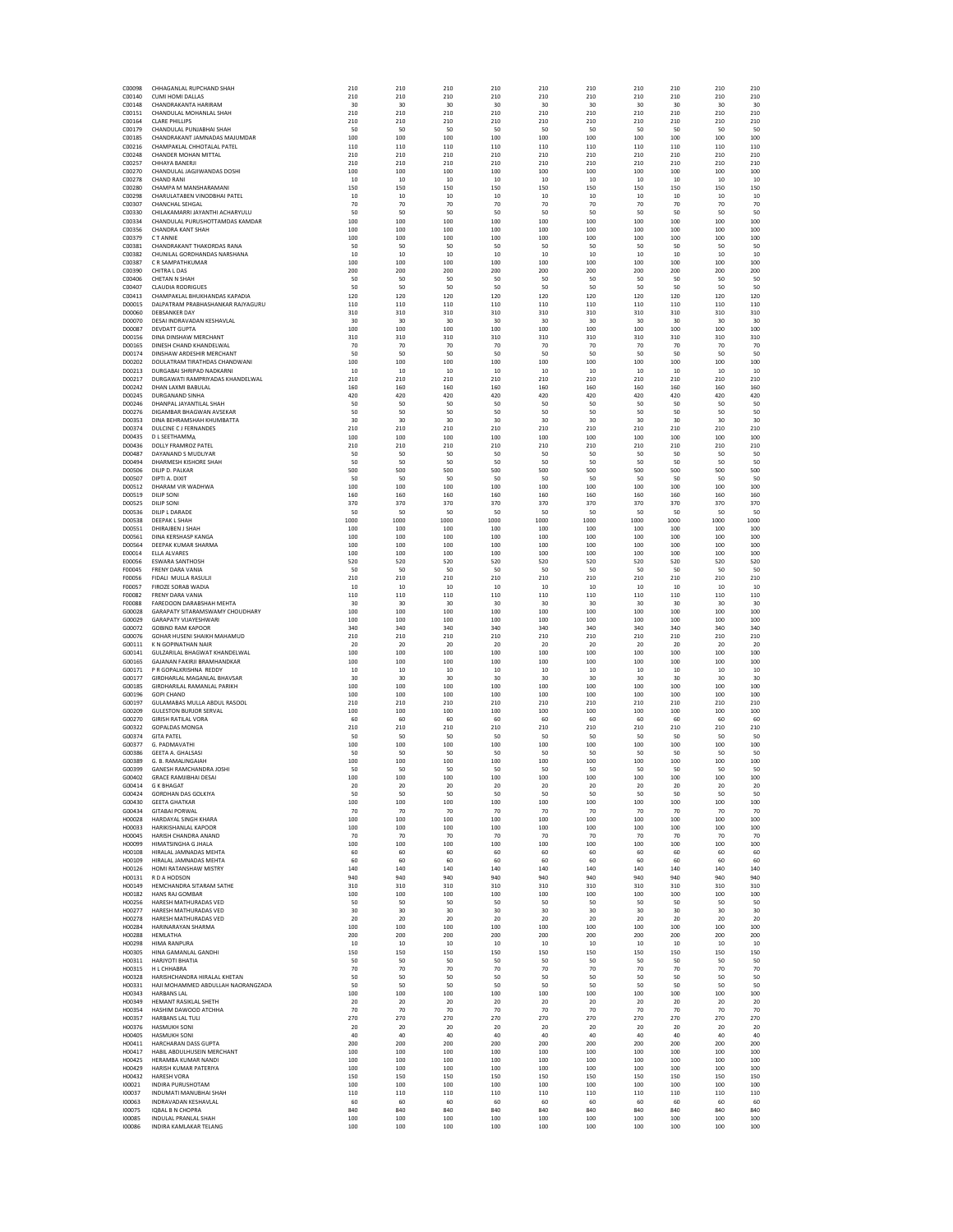| C00098<br>C00140 | CHHAGANLAL RUPCHAND SHAH<br><b>CUMI HOMI DALLAS</b>                | 210<br>210  | 210<br>210    | 210<br>210  | 210<br>210  | 210<br>210  | 210<br>210  | 210<br>210  | 210<br>210  | 210<br>210  | 210<br>210  |
|------------------|--------------------------------------------------------------------|-------------|---------------|-------------|-------------|-------------|-------------|-------------|-------------|-------------|-------------|
| C00148           | CHANDRAKANTA HARIRAM                                               | 30          | 30            | 30          | 30          | 30          | 30          | 30          | 30          | 30          | 30          |
| C00151<br>C00164 | CHANDULAL MOHANLAL SHAH<br><b>CLARE PHILLIPS</b>                   | 210<br>210  | 210<br>210    | 210<br>210  | 210<br>210  | 210<br>210  | 210<br>210  | 210<br>210  | 210<br>210  | 210<br>210  | 210<br>210  |
| C00179           | CHANDULAL PUNJABHAI SHAH                                           | 50          | 50            | 50          | 50          | 50          | 50          | 50          | 50          | 50          | 50          |
| C00185<br>C00216 | CHANDRAKANT JAMNADAS MAJUMDAR<br>CHAMPAKLAL CHHOTALAL PATEL        | 100<br>110  | 100<br>110    | 100<br>110  | 100<br>110  | 100<br>110  | 100<br>110  | 100<br>110  | 100<br>110  | 100<br>110  | 100<br>110  |
| C00248           | <b>CHANDER MOHAN MITTAL</b>                                        | 210         | 210           | 210         | 210         | 210         | 210         | 210         | 210         | 210         | 210         |
| C00257           | CHHAYA BANERJI                                                     | 210         | 210           | 210         | 210         | 210         | 210         | 210         | 210         | 210         | 210         |
| C00270<br>C00278 | CHANDULAL JAGJIWANDAS DOSHI<br><b>CHAND RANI</b>                   | 100<br>10   | 100<br>10     | 100<br>10   | 100<br>10   | 100<br>10   | 100<br>10   | 100<br>10   | 100<br>10   | 100<br>10   | 100<br>10   |
| C00280           | CHAMPA M MANSHARAMANI<br>CHARULATAREN VINODRHALPATEL               | 150         | 150           | 150         | 150         | 150         | 150         | 150         | 150         | 150         | 150         |
| C00298<br>C00307 | CHANCHAL SEHGAL                                                    | 10<br>70    | 10<br>70      | 10<br>70    | 10<br>70    | 10<br>70    | 10<br>70    | 10<br>70    | 10<br>70    | 10<br>70    | 10<br>70    |
| C00330           | CHILAKAMARRI JAYANTHI ACHARYULU                                    | 50          | 50            | 50          | 50          | 50          | 50          | 50          | 50          | 50          | 50          |
| C00334<br>C00356 | CHANDULAL PURUSHOTTAMDAS KAMDAR<br><b>CHANDRA KANT SHAH</b>        | 100<br>100  | 100<br>100    | 100<br>100  | 100<br>100  | 100<br>100  | 100<br>100  | 100<br>100  | 100<br>100  | 100<br>100  | 100<br>100  |
| C00379           | <b>CTANNIE</b>                                                     | 100         | 100           | 100         | 100         | 100         | 100         | 100         | 100         | 100         | 100         |
| C00381<br>C00382 | CHANDRAKANT THAKORDAS RANA<br>CHUNILAL GORDHANDAS NARSHANA         | 50<br>10    | 50<br>10      | 50<br>10    | 50<br>10    | 50<br>10    | 50<br>10    | 50<br>10    | 50<br>10    | 50<br>10    | 50<br>10    |
| C00387           | C R SAMPATHKUMAR                                                   | 100         | 100           | 100         | 100         | 100         | 100         | 100         | 100         | 100         | 100         |
| C00390           | CHITRA L DAS                                                       | 200         | 200           | 200         | 200         | 200         | 200         | 200         | 200         | 200         | 200         |
| C00406<br>C00407 | CHETAN N SHAH<br><b>CLAUDIA RODRIGUES</b>                          | 50<br>50    | 50<br>50      | 50<br>50    | 50<br>50    | 50<br>50    | 50<br>50    | 50<br>50    | 50<br>50    | 50<br>50    | 50<br>50    |
| C00413           | CHAMPAKLAL BHUKHANDAS KAPADIA                                      | 120         | 120           | 120         | 120         | 120         | 120         | 120         | 120         | 120         | 120         |
| D00015<br>D00060 | DALPATRAM PRABHASHANKAR RAJYAGURU<br><b>DEBSANKER DAY</b>          | 110<br>310  | 110<br>310    | 110<br>310  | 110<br>310  | 110<br>310  | 110<br>310  | 110<br>310  | 110<br>310  | 110<br>310  | 110<br>310  |
| D00070           | DESAI INDRAVADAN KESHAVLAL                                         | 30          | 30            | 30          | 30          | 30          | 30          | 30          | 30          | 30          | 30          |
| D00087<br>D00156 | <b>DEVDATT GUPTA</b><br>DINA DINSHAW MERCHANT                      | 100<br>310  | 100<br>310    | 100<br>310  | 100<br>310  | 100<br>310  | 100<br>310  | 100<br>310  | 100<br>310  | 100<br>310  | 100<br>310  |
| D00165           | DINESH CHAND KHANDELWAL                                            | 70          | 70            | 70          | 70          | 70          | 70          | 70          | 70          | 70          | 70          |
| D00174           | DINSHAW ARDESHIR MERCHANT                                          | 50          | 50            | 50          | 50          | 50          | 50          | 50          | 50          | 50          | 50          |
| D00202<br>D00213 | DOULATRAM TIRATHDAS CHANDWANI<br>DURGABAI SHRIPAD NADKARNI         | 100<br>10   | 100<br>$10\,$ | 100<br>10   | 100<br>10   | 100<br>10   | 100<br>10   | 100<br>10   | 100<br>10   | 100<br>10   | 100<br>10   |
| D00217           | DURGAWATI RAMPRIYADAS KHANDELWAL                                   | 210         | 210           | 210         | 210         | 210         | 210         | 210         | 210         | 210         | 210         |
| D00242<br>D00245 | DHAN LAXMI BARULAL<br>DURGANAND SINHA                              | 160<br>420  | 160<br>420    | 160<br>420  | 160<br>420  | 160<br>420  | 160<br>420  | 160<br>420  | 160<br>420  | 160<br>420  | 160<br>420  |
| D00246           | DHANPAL JAYANTILAL SHAH                                            | 50          | 50            | -50         | 50          | 50          | -50         | 50          | 50          | 50          | 50          |
| D00276<br>D00353 | DIGAMBAR BHAGWAN AVSEKAR<br>DINA BEHRAMSHAH KHUMBATTA              | 50<br>30    | 50<br>30      | 50<br>30    | 50<br>30    | 50<br>30    | 50<br>30    | 50<br>30    | 50<br>30    | 50<br>30    | 50<br>30    |
| D00374           | DULCINE C J FERNANDES                                              | 210         | 210           | 210         | 210         | 210         | 210         | 210         | 210         | 210         | 210         |
| D00435<br>D00436 | D L SEETHAMMA<br><b>DOLLY FRAMROZ PATEL</b>                        | 100<br>210  | 100<br>210    | 100<br>210  | 100<br>210  | 100<br>210  | 100<br>210  | 100<br>210  | 100<br>210  | 100<br>210  | 100<br>210  |
| D00487           | DAYANAND S MUDLIYAR                                                | 50          | 50            | 50          | 50          | 50          | 50          | 50          | 50          | 50          | 50          |
| D00494           | DHARMESH KISHORE SHAH                                              | 50          | 50            | 50          | 50          | 50          | 50          | 50          | 50          | 50          | 50          |
| D00506<br>D00507 | DILIP D. PALKAR<br>DIPTI A. DIXIT                                  | 500<br>50   | 500<br>50     | 500<br>-50  | 500<br>50   | 500<br>50   | 500<br>50   | 500<br>50   | 500<br>50   | 500<br>50   | 500<br>50   |
| D00512           | DHARAM VIR WADHWA                                                  | 100         | 100           | 100         | 100         | 100         | 100         | 100         | 100         | 100         | 100         |
| D00519<br>D00525 | DILIP SONI<br><b>DILIP SONI</b>                                    | 160<br>370  | 160<br>370    | 160<br>370  | 160<br>370  | 160<br>370  | 160<br>370  | 160<br>370  | 160<br>370  | 160<br>370  | 160<br>370  |
| D00536           | DILIP L DARADE                                                     | 50          | 50            | 50          | 50          | 50          | 50          | 50          | 50          | 50          | 50          |
| D00538<br>D00551 | <b>DEEPAK L SHAH</b><br>DHIRAJBEN J SHAH                           | 1000<br>100 | 1000<br>100   | 1000<br>100 | 1000<br>100 | 1000<br>100 | 1000<br>100 | 1000<br>100 | 1000<br>100 | 1000<br>100 | 1000<br>100 |
| D00561           | DINA KERSHASP KANGA                                                | 100         | 100           | 100         | 100         | 100         | 100         | 100         | 100         | 100         | 100         |
| D00564           | DEEPAK KUMAR SHARMA                                                | 100         | 100           | 100         | 100         | 100         | 100         | 100         | 100         | 100         | 100         |
| E00014<br>E00056 | <b>ELLA ALVARES</b><br><b>ESWARA SANTHOSH</b>                      | 100<br>520  | 100<br>520    | 100<br>520  | 100<br>520  | 100<br>520  | 100<br>520  | 100<br>520  | 100<br>520  | 100<br>520  | 100<br>520  |
| F00045           | <b>FRENY DARA VANIA</b>                                            | 50          | 50            | 50          | 50          | 50          | 50          | 50          | 50          | 50          | 50          |
| F00056<br>F00057 | FIDALI MULLA RASULJI<br>FIROZE SORAB WADIA                         | 210<br>10   | 210<br>10     | 210<br>10   | 210<br>10   | 210<br>10   | 210<br>10   | 210<br>10   | 210<br>10   | 210<br>10   | 210<br>10   |
| F00082           | FRENY DARA VANIA                                                   | 110         | 110           | 110         | 110         | 110         | 110         | 110         | 110         | 110         | 110         |
| F00088<br>G00028 | FAREDOON DARABSHAH MEHTA<br>GARAPATY SITARAMSWAMY CHOUDHARY        | 30<br>100   | 30<br>100     | 30<br>100   | 30<br>100   | 30<br>100   | 30<br>100   | 30<br>100   | 30<br>100   | 30<br>100   | 30<br>100   |
| G00029           | <b>GARAPATY VUAYESHWARI</b>                                        | 100         | 100           | 100         | 100         | 100         | 100         | 100         | 100         | 100         | 100         |
| G00072<br>G00076 | <b>GOBIND RAM KAPOOR</b><br>GOHAR HUSENI SHAIKH MAHAMUD            | 340<br>210  | 340<br>210    | 340<br>210  | 340<br>210  | 340<br>210  | 340<br>210  | 340<br>210  | 340<br>210  | 340<br>210  | 340<br>210  |
| G00111           | K N GOPINATHAN NAIR                                                | 20          | 20            | 20          | 20          | 20          | 20          | 20          | 20          | 20          | 20          |
| G00141           | GULZARILAL BHAGWAT KHANDELWAL                                      | 100         | 100           | 100         | 100         | 100         | 100         | 100         | 100         | 100         | 100         |
| G00165<br>G00171 | GAJANAN FAKIRJI BRAMHANDKAR<br>P R GOPALKRISHNA REDDY              | 100<br>10   | 100<br>10     | 100<br>10   | 100<br>10   | 100<br>10   | 100<br>10   | 100<br>10   | 100<br>10   | 100<br>10   | 100<br>10   |
| G00177           | GIRDHARLAL MAGANLAL BHAVSAR                                        | 30          | 30            | 30          | 30          | 30          | 30          | 30          | 30          | 30          | 30          |
| G00185<br>G00196 | GIRDHARILAL RAMANLAL PARIKH<br><b>GOPI CHAND</b>                   | 100<br>100  | 100<br>100    | 100<br>100  | 100<br>100  | 100<br>100  | 100<br>100  | 100<br>100  | 100<br>100  | 100<br>100  | 100<br>100  |
| G00197           | GULAMABAS MULLA ABDUL RASOOL                                       | 210         | 210           | 210         | 210         | 210         | 210         | 210         | 210         | 210         | 210         |
| G00209<br>G00270 | <b>GULESTON BURJOR SERVAL</b><br><b>GIRISH RATILAL VORA</b>        | 100<br>60   | 100<br>60     | 100<br>60   | 100<br>60   | 100<br>60   | 100<br>60   | 100<br>60   | 100<br>60   | 100<br>60   | 100<br>60   |
| G00322           | <b>GOPALDAS MONGA</b>                                              | 210         | 210           | 210         | 210         | 210         | 210         | 210         | 210         | 210         | 210         |
| G00374<br>G00377 | <b>GITA PATEL</b><br>G. PADMAVATHI                                 | 50<br>100   | 50<br>100     | 50<br>100   | 50<br>100   | 50<br>100   | 50<br>100   | 50<br>100   | 50<br>100   | 50<br>100   | 50<br>100   |
| G00386           | <b>GEETA A. GHALSAS</b>                                            | 50          | 50            | 50          | 50          | 50          | 50          | 50          | 50          | 50          | 50          |
| G00389           | G. B. RAMALINGAIAH<br>GANESH RAMCHANDRA JOSHI                      | 100         | 100           | 100         | 100         | 100         | 100         | 100         | 100         | 100         | 100         |
| G00399<br>G00402 | <b>GRACE RAMJIBHAI DESAI</b>                                       | 50<br>100   | 50<br>100     | 50<br>100   | 50<br>100   | 50<br>100   | 50<br>100   | 50<br>100   | 50<br>100   | 50<br>100   | 50<br>100   |
| G00414           | <b>G K BHAGAI</b>                                                  | 20          | 20            | 20          | 20          | 20          | 20          | 20          | 20          | -20         | 20          |
| G00424<br>G00430 | <b>GORDHAN DAS GOLKIYA</b><br><b>GEETA GHATKAR</b>                 | 50<br>100   | 50<br>100     | 50<br>100   | 50<br>100   | 50<br>100   | 50<br>100   | 50<br>100   | 50<br>100   | 50<br>100   | 50<br>100   |
| G00434           | <b>GITABAI PORWAL</b>                                              | 70          | 70            | 70          | 70          | 70          | 70          | 70          | 70          | 70          | 70          |
| H00028<br>H00033 | HARDAYAI SINGH KHARA<br>HARIKISHANLAL KAPOOR                       | 100<br>100  | 100<br>100    | 100<br>100  | 100<br>100  | 100<br>100  | 100<br>100  | 100<br>100  | 100<br>100  | 100<br>100  | 100<br>100  |
| H00045           | HARISH CHANDRA ANAND                                               | 70          | 70            | 70          | 70          | 70          | 70          | 70          | 70          | 70          | 70          |
| H00099<br>H00108 | HIMATSINGHA G JHALA<br>HIRALAL JAMNADAS MEHTA                      | 100<br>60   | 100<br>60     | 100<br>60   | 100<br>60   | 100<br>60   | 100<br>60   | 100<br>60   | 100<br>60   | 100<br>60   | 100<br>60   |
| H00109           | HIRALAL JAMNADAS MEHTA                                             | 60          | 60            | 60          | 60          | 60          | 60          | 60          | 60          | 60          | 60          |
| H00126<br>H00131 | HOMI RATANSHAW MISTRY<br>R D A HODSON                              | 140<br>940  | 140<br>940    | 140<br>940  | 140<br>940  | 140<br>940  | 140<br>940  | 140<br>940  | 140<br>940  | 140<br>940  | 140<br>940  |
| H00149           | HEMCHANDRA SITARAM SATHE                                           | 310         | 310           | 310         | 310         | 310         | 310         | 310         | 310         | 310         | 310         |
| H00182           | <b>HANS RAJ GOMBAR</b><br>HARESH MATHURADAS VED                    | 100         | 100           | 100         | 100         | 100         | 100         | 100         | 100         | 100         | 100         |
| H00256<br>H00277 | HARESH MATHURADAS VED                                              | 50<br>30    | 50<br>30      | 50<br>30    | 50<br>30    | 50<br>30    | 50<br>30    | 50<br>30    | 50<br>30    | 50<br>30    | 50<br>30    |
| H00278           | HARESH MATHURADAS VED<br><b>HARINARAYAN SHARMA</b>                 | 20          | 20            | 20          | 20          | 20          | 20          | 20          | 20          | 20          | 20          |
| H00284<br>H00288 | HEMLATHA                                                           | 100<br>200  | 100<br>200    | 100<br>200  | 100<br>200  | 100<br>200  | 100<br>200  | 100<br>200  | 100<br>200  | 100<br>200  | 100<br>200  |
| H00298           | <b>HIMA RANPURA</b>                                                | 10          | 10            | 10          | 10          | 10          | 10          | 10          | 10          | 10          | 10          |
| H00305<br>H00311 | HINA GAMANI AI GANDHI<br><b>HARJYOTI BHATIA</b>                    | 150<br>50   | 150<br>50     | 150<br>50   | 150<br>50   | 150<br>50   | 150<br>50   | 150<br>50   | 150<br>50   | 150<br>50   | 150<br>50   |
| H00315           | H L CHHABRA                                                        | 70          | 70            | 70          | 70          | 70          | 70          | 70          | 70          | 70          | 70          |
| H00328<br>H00331 | HARISHCHANDRA HIRALAL KHETAN<br>HAJI MOHAMMED ABDULLAH NAORANGZADA | 50<br>50    | 50<br>50      | 50<br>50    | 50<br>50    | 50<br>50    | 50<br>50    | 50<br>50    | 50<br>50    | 50<br>50    | 50<br>50    |
| H00343           | <b>HARBANS LAL</b>                                                 | 100         | 100           | 100         | 100         | 100         | 100         | 100         | 100         | 100         | 100         |
| H00349           | HEMANT RASIKLAL SHETH                                              | 20          | 20            | 20          | 20          | 20          | 20          | 20          | 20          | 20          | 20          |
| H00354<br>H00357 | HASHIM DAWOOD ATCHHA<br>HARBANS LAL TULI                           | 70<br>270   | 70<br>270     | 70<br>270   | 70<br>270   | 70<br>270   | 70<br>270   | 70<br>270   | 70<br>270   | 70<br>270   | 70<br>270   |
| H00376           | <b>HASMUKH SONI</b>                                                | 20          | 20            | -20         | 20          | 20          | -20         | 20          | 20          | 20          | 20          |
| H00405<br>H00411 | HASMUKH SONI<br>HARCHARAN DASS GUPTA                               | 40<br>200   | 40<br>200     | 40<br>200   | 40<br>200   | 40<br>200   | 40<br>200   | 40<br>200   | 40<br>200   | 40<br>200   | 40<br>200   |
| H00417           | HABIL ABDULHUSEIN MERCHANT                                         | 100         | 100           | 100         | 100         | 100         | 100         | 100         | 100         | 100         | 100         |
| H00425<br>H00429 | HERAMBA KUMAR NANDI<br>HARISH KUMAR PATERIYA                       | 100<br>100  | 100<br>100    | 100<br>100  | 100<br>100  | 100<br>100  | 100<br>100  | 100<br>100  | 100<br>100  | 100<br>100  | 100<br>100  |
| H00432           | <b>HARESH VORA</b>                                                 | 150         | 150           | 150         | 150         | 150         | 150         | 150         | 150         | 150         | 150         |
| 100021<br>100037 | <b>INDIRA PURUSHOTAM</b><br>INDUMATI MANUBHAI SHAH                 | 100<br>110  | 100<br>110    | 100<br>110  | 100<br>110  | 100<br>110  | 100<br>110  | 100<br>110  | 100<br>110  | 100<br>110  | 100<br>110  |
| 100063           | INDRAVADAN KESHAVLAL                                               | 60          | 60            | -60         | 60          | 60          | -60         | 60          | 60          | 60          | 60          |
| 100075<br>100085 | <b>IQBAL B N CHOPRA</b><br><b>INDULAL PRANLAL SHAH</b>             | 840<br>100  | 840<br>100    | 840<br>100  | 840<br>100  | 840<br>100  | 840<br>100  | 840<br>100  | 840<br>100  | 840<br>100  | 840<br>100  |
| 100086           | INDIRA KAMLAKAR TELANG                                             | 100         | 100           | 100         | 100         | 100         | 100         | 100         | 100         | 100         | 100         |
|                  |                                                                    |             |               |             |             |             |             |             |             |             |             |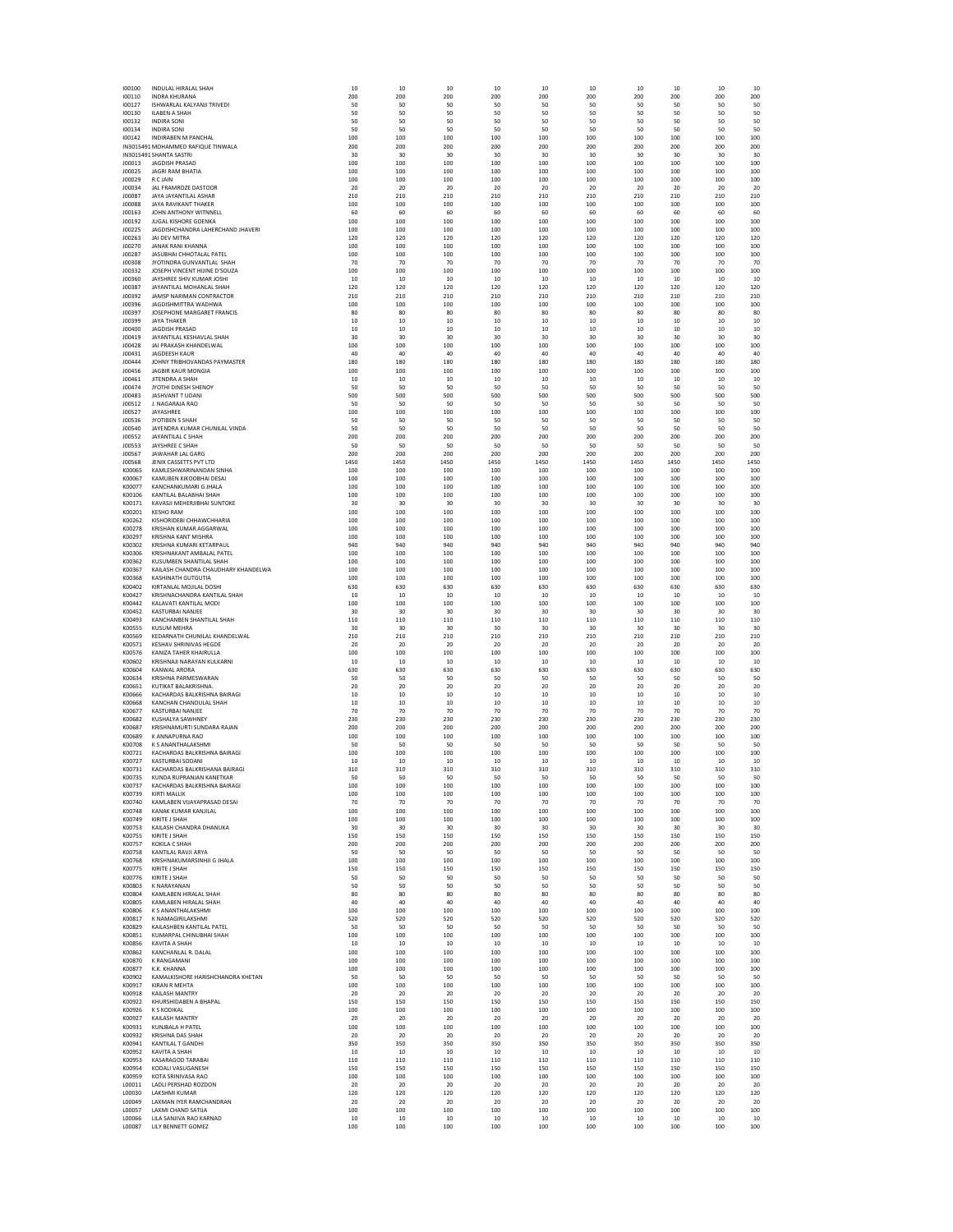| 100100           | INDULAL HIRALAL SHAF                                   | -10        | 10         | 10         | 10         | 10         | -10          | 10         | 10         | -10        | 10         |
|------------------|--------------------------------------------------------|------------|------------|------------|------------|------------|--------------|------------|------------|------------|------------|
| 100110           | <b>INDRA KHURANA</b>                                   | 200        | 200        | 200        | 200        | 200        | 200          | 200        | 200        | 200        | 200        |
| 100127           | ISHWARLAL KALYANJI TRIVEDI                             | 50         | 50         | 50         | 50         | 50         | 50           | 50         | 50         | 50         | 50<br>50   |
| 100130<br>100132 | <b>ILABEN A SHAH</b><br><b>INDIRA SONI</b>             | 50<br>50   | 50<br>50   | 50<br>50   | 50<br>50   | 50<br>50   | 50<br>50     | 50<br>50   | 50<br>50   | 50<br>50   | 50         |
| 100134           | <b>INDIRA SONI</b>                                     | 50         | 50         | 50         | 50         | 50         | 50           | 50         | 50         | 50         | 50         |
| 100142           | INDIRABEN M PANCHAL                                    | 100        | 100        | 100        | 100        | 100        | 100          | 100        | 100        | 100        | 100        |
|                  | IN3015491 MOHAMMED RAFIQUE TINWALA                     | 200        | 200        | 200        | 200        | 200        | 200          | 200        | 200        | 200        | 200        |
|                  | IN3015491 SHANTA SASTRI                                | 30         | 30         | 30         | 30         | 30         | 30           | 30         | 30         | 30         | 30         |
| J00013           | JAGDISH PRASAD                                         | 100        | 100        | 100        | 100        | 100        | 100          | 100        | 100        | 100        | 100        |
| J00025           | <b>JAGRI RAM BHATIA</b>                                | 100        | 100        | 100        | 100        | 100        | 100          | 100        | 100        | 100        | 100        |
| J00029           | R C JAIN                                               | 100        | 100        | 100        | 100        | 100        | 100          | 100        | 100        | 100        | 100        |
| J00034           | JAL FRAMROZE DASTOOR                                   | 20         | -20        | 20         | 20         | -20        | 20           | -20        | -20        | -20        | 20         |
| J00087           | JAYA JAYANTILAL ASHAR                                  | 210        | 210        | 210        | 210        | 210        | 210          | 210        | 210        | 210        | 210        |
| J00088           | <b>JAYA RAVIKANT THAKER</b>                            | 100        | 100        | 100        | 100        | 100        | 100          | 100        | 100        | 100        | 100        |
| J00163           | JOHN ANTHONY WITNNELL                                  | 60         | 60         | 60         | 60         | 60         | 60           | 60         | 60         | 60         | 60         |
| J00192           | JUGAL KISHORE GOENKA                                   | 100        | 100        | 100        | 100        | 100        | 100          | 100        | 100        | 100        | 100        |
| J00225           | JAGDISHCHANDRA LAHERCHAND JHAVERI                      | 100        | 100        | 100        | 100        | 100        | 100          | 100        | 100        | 100        | 100        |
| J00263           | JAI DEV MITRA<br>JANAK RANI KHANNA                     | 120<br>100 | 120<br>100 | 120<br>100 | 120<br>100 | 120<br>100 | 120<br>100   | 120<br>100 | 120<br>100 | 120<br>100 | 120<br>100 |
| J00270<br>J00287 | JASUBHAI CHHOTALAL PATEL                               | 100        | 100        | 100        | 100        | 100        | 100          | 100        | 100        | 100        | 100        |
| J00308           | JYOTINDRA GUNVANTLAL SHAH                              | 70         | 70         | 70         | 70         | - 70       | 70           | 70         | 70         | - 70       | 70         |
| J00332           | JOSEPH VINCENT HIJINE D'SOUZA                          | 100        | 100        | 100        | 100        | 100        | 100          | 100        | 100        | 100        | 100        |
| J00360           | JAYSHREE SHIV KUMAR JOSHI                              | 10         | 10         | 10         | 10         | 10         | 10           | 10         | 10         | 10         | 10         |
| J00387           | JAYANTILAL MOHANLAL SHAH                               | 120        | 120        | 120        | 120        | 120        | 120          | 120        | 120        | 120        | 120        |
| J00392           | JAMSP NARIMAN CONTRACTOR                               | 210        | 210        | 210        | 210        | 210        | 210          | 210        | 210        | 210        | 210        |
| J00396           | JAGDISHMITTRA WADHWA                                   | 100        | 100        | 100        | 100        | 100        | 100          | 100        | 100        | 100        | 100        |
| J00397           | JOSEPHONE MARGARET FRANCIS                             | 80         | 80         | 80         | 80         | 80         | 80           | 80         | 80         | 80         | 80         |
| J00399           | JAYA THAKER                                            | 10         | 10         | 10         | 10         | 10         | 10           | 10         | 10         | 10         | 10         |
| J00400           | JAGDISH PRASAD                                         | $10\,$     | 10         | 10         | 10         | 10         | $10\,$       | 10         | 10         | 10         | 10         |
| J00419           | JAYANTILAL KESHAVLAL SHAH                              | 30         | 30         | 30         | 30         | 30         | 30           | 30         | 30         | 30         | 30         |
| J00428           | JAI PRAKASH KHANDELWAL                                 | 100        | 100        | 100        | 100        | 100        | 100          | 100        | 100        | 100        | 100        |
| J00431           | <b>JAGDEESH KAUR</b>                                   | 40         | 40         | 40         | 40         | 40         | 40           | 40         | 40         | 40         | 40         |
| J00444           | JOHNY TRIBHOVANDAS PAYMASTER                           | 180        | 180        | 180        | 180        | 180        | 180          | 180        | 180        | 180        | 180        |
| J00456           | <b>JAGBIR KAUR MONGIA</b>                              | 100        | 100        | 100        | 100        | 100        | 100          | 100        | 100        | 100        | 100        |
| J00461<br>J00474 | JITENDRA A SHAH<br>JYOTHI DINESH SHENOY                | 10<br>50   | 10<br>50   | 10<br>50   | 10<br>50   | 10<br>50   | 10<br>50     | 10<br>50   | 10<br>50   | 10<br>50   | 10<br>50   |
|                  | JASHVANT T UDANI                                       | 500        | 500        | 500        | 500        | 500        | 500          | 500        | 500        | 500        | 500        |
| J00483<br>J00512 | J. NAGARAJA RAO                                        | 50         | 50         | 50         | 50         | 50         | 50           | 50         | 50         | 50         | 50         |
| J00527           | JAYASHREE                                              | 100        | 100        | 100        | 100        | 100        | 100          | 100        | 100        | 100        | 100        |
| J00536           | JYOTIBEN S SHAH                                        | 50         | 50         | 50         | 50         | 50         | 50           | 50         | 50         | 50         | 50         |
| J00540           | JAYENDRA KUMAR CHUNILAL VINDA                          | 50         | 50         | 50         | 50         | 50         | 50           | 50         | 50         | 50         | 50         |
| J00552           | JAYANTILAL C SHAH                                      | 200        | 200        | 200        | 200        | 200        | 200          | 200        | 200        | 200        | 200        |
| J00553           | JAYSHREE C SHAH                                        | 50         | 50         | 50         | 50         | 50         | 50           | 50         | 50         | 50         | 50         |
| J00567           | <b>IAWAHAR LAL GARG</b>                                | 200        | 200        | 200        | 200        | 200        | 200          | 200        | 200        | 200        | 200        |
| J00568           | JENIX CASSETTS PVT LTD                                 | 1450       | 1450       | 1450       | 1450       | 1450       | 1450         | 1450       | 1450       | 1450       | 1450       |
| K00065           | KAMLESHWARINANDAN SINHA                                | 100        | 100        | 100        | 100        | 100        | 100          | 100        | 100        | 100        | 100        |
| K00067           | KAMUBEN KIKOOBHAI DESAI                                | 100        | 100        | 100        | 100        | 100        | 100          | 100        | 100        | 100        | 100        |
| K00077           | KANCHANKUMARI G JHALA                                  | 100        | 100        | 100        | 100        | 100        | 100          | 100        | 100        | 100        | 100        |
| K00106           | KANTILAL BALABHAI SHAH                                 | 100        | 100        | 100        | 100        | 100        | 100          | 100        | 100        | 100        | 100        |
| K00171           | KAVASJI MEHERJIBHAI SUNTOKE                            | 30         | 30         | 30         | 30         | 30         | 30           | 30         | 30         | 30         | 30         |
| K00201           | <b>KESHO RAM</b>                                       | 100        | 100        | 100        | 100        | 100        | 100          | 100        | 100        | 100        | 100        |
| K00262           | KISHORIDEBI CHHAWCHHARIA                               | 100        | 100        | 100        | 100        | 100        | 100          | 100        | 100        | 100        | 100        |
| K00278           | KRISHAN KUMAR AGGARWAL                                 | 100        | 100        | 100        | 100        | 100        | 100          | 100        | 100        | 100        | 100        |
| K00297<br>K00302 | <b>KRISHNA KANT MISHRA</b><br>KRISHNA KUMARI KETARPAUL | 100<br>940 | 100<br>940 | 100<br>940 | 100<br>940 | 100<br>940 | 100<br>940   | 100<br>940 | 100<br>940 | 100<br>940 | 100<br>940 |
| K00306           | KRISHNAKANT AMBALAL PATEL                              | 100        | 100        | 100        | 100        | 100        | 100          | 100        | 100        | 100        | 100        |
| K00362           | KUSUMBEN SHANTILAL SHAH                                | 100        | 100        | 100        | 100        | 100        | 100          | 100        | 100        | 100        | 100        |
| K00367           | KAILASH CHANDRA CHAUDHARY KHANDELWA                    | 100        | 100        | 100        | 100        | 100        | 100          | 100        | 100        | 100        | 100        |
| K00368           | <b>KASHINATH GUTGUTIA</b>                              | 100        | 100        | 100        | 100        | 100        | 100          | 100        | 100        | 100        | 100        |
| K00402           | KIRTANLAL MOJILAL DOSHI                                | 630        | 630        | 630        | 630        | 630        | 630          | 630        | 630        | 630        | 630        |
| K00427           | KRISHNACHANDRA KANTILAL SHAH                           | 10         | 10         | 10         | 10         | 10         | 10           | 10         | 10         | 10         | 10         |
| K00442           | KALAVATI KANTILAL MODI                                 | 100        | 100        | 100        | 100        | 100        | 100          | 100        | 100        | 100        | 100        |
| K00452           | KASTURBAI NANJEE                                       | 30         | 30         | 30         | 30         | 30         | 30           | 30         | 30         | 30         | 30         |
| K00493           | KANCHANBEN SHANTILAL SHAH                              | 110        | 110        | 110        | 110        | 110        | 110          | 110        | 110        | 110        | 110        |
| K00555           | <b>KUSUM MEHRA</b>                                     | 30         | 30         | 30         | 30         | 30         | 30           | 30         | 30         | 30         | 30         |
| K00569           | KEDARNATH CHUNILAL KHANDELWAL                          | 210        | 210        | 210        | 210        | 210        | 210          | 210        | 210        | 210        | 210        |
| K00571           | KESHAV SHRINIVAS HEGDE                                 | 20         | 20         | 20         | 20         | 20         | 20           | 20         | 20         | 20         | 20         |
| K00576           | KANIZA TAHER KHAIRULLA                                 | 100        | 100        | 100        | 100        | 100        | 100          | 100        | 100        | 100        | 100        |
| K00602           | KRISHNAJI NARAYAN KULKARNI                             | 10         | 10         | 10         | 10         | 10         | 10           | 10         | 10         | 10         | 10         |
| K00604           | <b>KANWAL ARORA</b>                                    | 630        | 630        | 630        | 630        | 630        | 630          | 630        | 630        | 630        | 630        |
| K00634           | <b>KRISHNA PARMESWARAN</b>                             | 50         | -50        | 50         | 50         | 50         | 50           | 50         | 50         | 50         | 50         |
| K00651           | KUTIKAT BALAKRISHNA.                                   | 20<br>10   | 20         | 20<br>10   | 20<br>10   | 20         | 20           | 20         | 20<br>10   | 20<br>10   | 20<br>10   |
| K00666<br>K00668 | KACHARDAS BALKRISHNA BAIRAGI<br>KANCHAN CHANDULAL SHAH | $10\,$     | 10<br>10   | $10\,$     | 10         | 10<br>$10$ | 10<br>$10\,$ | 10<br>10   | $10$       | 10         | 10         |
| K00677           | <b>KASTURBAI NANJEE</b>                                | 70         | 70         | 70         | 70         | 70         | 70           | 70         | 70         | 70         | 70         |
| K00682           | <b>KUSHALYA SAWHNEY</b>                                | 230        | 230        | 230        | 230        | 230        | 230          | 230        | 230        | 230        | 230        |
| K00687           | KRISHNAMURTI SUNDARA RAJAN                             | 200        | 200        | 200        | 200        | 200        | 200          | 200        | 200        | 200        | 200        |
| K00689           | K ANNAPURNA RAO                                        | 100        | 100        | 100        | 100        | 100        | 100          | 100        | 100        | 100        | 100        |
| K00708           | K S ANANTHALAKSHM                                      | 50         | 50         | 50         | 50         | 50         | 50           | 50         | 50         | 50         | 50         |
| K00721           | KACHARDAS BALKRISHNA BAIRAGI                           | 100        | 100        | 100        | 100        | 100        | 100          | 100        | 100        | 100        | 100        |
| K00727           | KASTURBAI SODANI                                       | 10         | 10         | 10         | 10         | 10         | 10           | 10         | 10         | 10         | 10         |
| K00731           | KACHARDAS BALKRISHANA BAIRAGI                          | 310        | 310        | 310        | 310        | 310        | 310          | 310        | 310        | 310        | 310        |
| K00735           | KUNDA RUPRANJAN KANETKAR                               | 50         | 50         | 50         | 50         | 50         | 50           | 50         | 50         | 50         | 50         |
| <b>CECOU</b>     | KACHARDAS RAI KRISHNA RAIRAC                           | nn         | 100        | 100        | 100        | 100        | ınn          | 1m         | 100        | 100        | າດດ        |
| K00739           | <b>KIRTI MALLIK</b>                                    | 100        | 100        | 100        | 100        | 100        | 100          | 100        | 100        | 100        | 100        |
| K00740           | KAMLABEN VIJAYAPRASAD DESAI                            | 70         | 70         | 70         | 70         | 70         | 70           | 70         | 70         | 70         | 70         |
| K00748<br>K00749 | KANAK KUMAR KANJILAL<br>KIRITE J SHAH                  | 100<br>100 | 100<br>100 | 100<br>100 | 100<br>100 | 100<br>100 | 100<br>100   | 100<br>100 | 100<br>100 | 100<br>100 | 100<br>100 |
| K00753           | KAILASH CHANDRA DHANUKA                                | 30         | 30         | 30         | 30         | 30         | 30           | 30         | 30         | 30         | 30         |
| K00755           | KIRITE J SHAH                                          | 150        | 150        | 150        | 150        | 150        | 150          | 150        | 150        | 150        | 150        |
| K00757           | KOKILA C SHAH                                          | 200        | 200        | 200        | 200        | 200        | 200          | 200        | 200        | 200        | 200        |
| K00758           | KANTILAL RAVJI ARYA                                    | 50         | 50         | 50         | 50         | 50         | 50           | 50         | 50         | 50         | 50         |
| K00768           | KRISHNAKUMARSINHJI G JHALA                             | 100        | 100        | 100        | 100        | 100        | 100          | 100        | 100        | 100        | 100        |
| K00775           | KIRITE J SHAH                                          | 150        | 150        | 150        | 150        | 150        | 150          | 150        | 150        | 150        | 150        |
| K00776           | KIRITE J SHAH                                          | 50         | 50         | 50         | 50         | 50         | 50           | 50         | 50         | 50         | 50         |
| K00803           | <b>K NARAYANAN</b>                                     | 50         | 50         | 50         | 50         | 50         | 50           | 50         | 50         | 50         | 50         |
| K00804           | KAMLABEN HIRALAL SHAH                                  | 80         | 80         | 80         | 80         | 80         | 80           | 80         | 80         | 80         | 80         |
| K00805           | KAMLABEN HIRALAL SHAH                                  | 40         | 40         | 40         | 40         | 40         | 40           | 40         | 40         | 40         | 40         |
| K00806           | K S ANANTHALAKSHMI                                     | 100        | 100        | 100        | 100        | 100        | 100          | 100        | 100        | 100        | 100        |
| K00817<br>K00829 | K NAMAGIRILAKSHMI<br>KAILASHBEN KANTILAL PATEL         | 520<br>50  | 520<br>50  | 520<br>50  | 520<br>50  | 520<br>50  | 520<br>50    | 520<br>50  | 520<br>50  | 520<br>50  | 520<br>50  |
| K00851           | KUMARPAL CHINUBHAI SHAH                                | 100        | 100        | 100        | 100        | 100        | 100          | 100        | 100        | 100        | 100        |
| K00856           | KAVITA A SHAH                                          | 10         | 10         | 10         | 10         | 10         | 10           | 10         | 10         | 10         | 10         |
| K00862           | KANCHANLAL R. DALAL                                    | 100        | 100        | 100        | 100        | 100        | 100          | 100        | 100        | 100        | 100        |
| K00870           | <b>K RANGAMANI</b>                                     | 100        | 100        | 100        | 100        | 100        | 100          | 100        | 100        | 100        | 100        |
| K00877           | K.K. KHANNA                                            | 100        | 100        | 100        | 100        | 100        | 100          | 100        | 100        | 100        | 100        |
| K00902           | KAMALKISHORE HARISHCHANDRA KHETAN                      | 50         | 50         | 50         | 50         | 50         | 50           | 50         | 50         | 50         | 50         |
| K00917           | KIRAN R MEHTA                                          | 100        | 100        | 100        | 100        | 100        | 100          | 100        | 100        | 100        | 100        |
| K00918           | <b>KAILASH MANTRY</b>                                  | 20         | 20         | 20         | 20         | 20         | 20           | 20         | 20         | 20         | 20         |
| K00922           | KHURSHIDABEN A BHAPAL                                  | 150        | 150        | 150        | 150        | 150        | 150          | 150        | 150        | 150        | 150        |
| K00926           | <b>K S KODIKAL</b>                                     | 100        | 100        | 100        | 100        | 100        | 100          | 100        | 100        | 100        | 100        |
| K00927           | <b>KAILASH MANTRY</b>                                  | 20         | -20        | 20         | 20         | -20        | 20           | -20        | -20        | -20        | 20         |
| K00931           | KUNJBALA H PATEL                                       | 100        | 100        | 100        | 100        | 100        | 100          | 100        | 100        | 100        | 100        |
| K00932           | <b>KRISHNA DAS SHAH</b>                                | 20         | 20         | 20         | 20         | 20         | 20           | 20         | 20         | 20         | 20         |
| K00941           | <b>KANTILAL T GANDHI</b>                               | 350        | 350        | 350        | 350        | 350        | 350          | 350        | 350        | 350        | 350        |
| K00952           | KAVITA A SHAH                                          | 10         | 10         | 10         | 10         | 10         | 10           | 10         | 10         | 10         | 10         |
| K00953           | <b>KASARAGOD TARABAI</b>                               | 110        | 110        | 110        | 110        | 110        | 110          | 110        | 110        | 110        | 110        |
| K00954           | KODALI VASUGANESH                                      | 150        | 150        | 150        | 150        | 150        | 150          | 150        | 150        | 150        | 150        |
| K00959<br>L00011 | KOTA SRINIVASA RAO<br>LADLI PERSHAD ROZDON             | 100<br>20  | 100<br>20  | 100<br>20  | 100<br>20  | 100<br>20  | 100<br>20    | 100<br>20  | 100<br>20  | 100<br>20  | 100<br>20  |
| L00030           | LAKSHMI KUMAR                                          | 120        | 120        | 120        | 120        | 120        | 120          | 120        | 120        | 120        | 120        |
| L00049           | LAXMAN IYER RAMCHANDRAN                                | 20         | 20         | 20         | 20         | 20         | 20           | 20         | 20         | 20         | 20         |
| L00057           | LAXMI CHAND SATUA                                      | 100        | 100        | 100        | 100        | 100        | 100          | 100        | 100        | 100        | 100        |
| L00066           | LILA SANJIVA RAO KARNAD                                | $10\,$     | 10         | 10         | 10         | 10         | 10           | 10         | 10         | 10         | 10         |
| L00087           | LILY BENNETT GOMEZ                                     | 100        | 100        | 100        | 100        | 100        | 100          | 100        | 100        | 100        | 100        |
|                  |                                                        |            |            |            |            |            |              |            |            |            |            |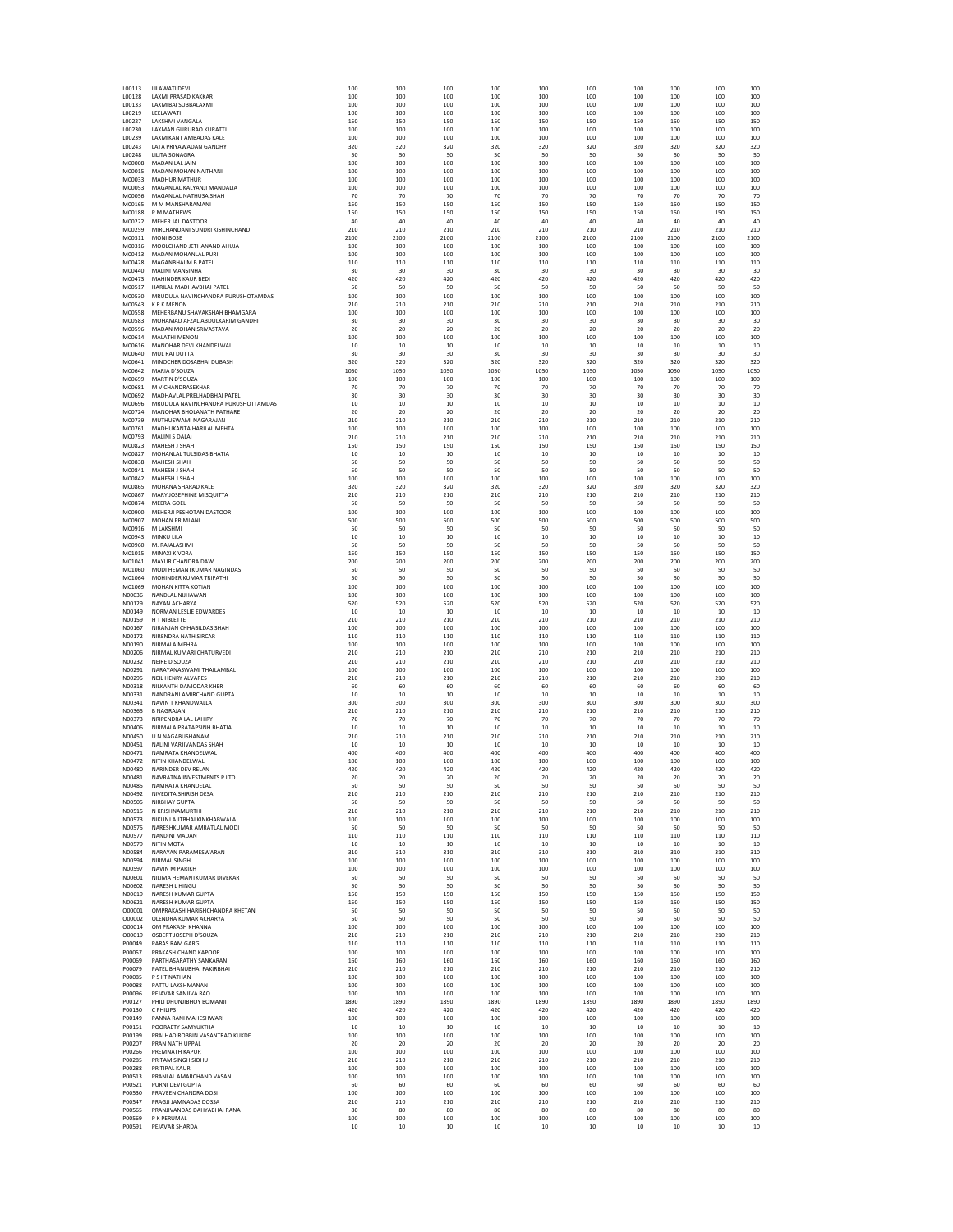| LUU115<br>L00128        | LILAWATI DEVI<br>LAXMI PRASAD KAKKAR                  | 100<br>100 | 10U<br>100 | 10U<br>100 | 100<br>100 | 10U<br>100 | 100<br>100 | 10U<br>100 | 10U<br>100 | 100<br>100 | 10U<br>100 |
|-------------------------|-------------------------------------------------------|------------|------------|------------|------------|------------|------------|------------|------------|------------|------------|
| L00133                  | LAXMIBAI SUBBALAXM                                    | 100        | 100        | 100        | 100        | 100        | 100        | 100        | 100        | 100        | 100        |
| L00219                  | LEELAWATI                                             | 100        | 100        | 100        | 100        | 100        | 100        | 100        | 100        | 100        | 100        |
| L00227                  | LAKSHMI VANGALA                                       | 150        | 150        | 150        | 150        | 150        | 150        | 150        | 150        | 150        | 150<br>100 |
| L00230<br>L00239        | LAXMAN GURURAO KURATTI<br>LAXMIKANT AMBADAS KALE      | 100<br>100 | 100<br>100 | 100<br>100 | 100<br>100 | 100<br>100 | 100<br>100 | 100<br>100 | 100<br>100 | 100<br>100 | 100        |
| L00243                  | LATA PRIYAWADAN GANDHY                                | 320        | 320        | 320        | 320        | 320        | 320        | 320        | 320        | 320        | 320        |
| L00248                  | LILITA SONAGRA                                        | 50         | 50         | 50         | 50         | 50         | 50         | 50         | 50         | 50         | 50         |
| M00008                  | MADAN LAL JAIN                                        | 100        | 100        | 100        | 100        | 100        | 100        | 100        | 100        | 100        | 100        |
| M00015<br>M00033        | MADAN MOHAN NAITHANI<br><b>MADHUR MATHUR</b>          | 100<br>100 | 100<br>100 | 100<br>100 | 100<br>100 | 100<br>100 | 100<br>100 | 100<br>100 | 100<br>100 | 100<br>100 | 100<br>100 |
| M00053                  | MAGANLAL KALYANJI MANDALIA                            | 100        | 100        | 100        | 100        | 100        | 100        | 100        | 100        | 100        | 100        |
| M00056                  | MAGANLAL NATHUSA SHAH                                 | 70         | 70         | 70         | 70         | 70         | 70         | 70         | 70         | 70         | 70         |
| M00165                  | M M MANSHARAMANI                                      | 150        | 150        | 150        | 150        | 150        | 150        | 150        | 150        | 150        | 150        |
| M00188<br>M00222        | P M MATHEWS<br>MEHER JAL DASTOOR                      | 150<br>40  | 150<br>40  | 150<br>40  | 150<br>40  | 150<br>40  | 150<br>40  | 150<br>40  | 150<br>40  | 150<br>40  | 150<br>40  |
| M00259                  | MIRCHANDANI SUNDRI KISHINCHAND                        | 210        | 210        | 210        | 210        | 210        | 210        | 210        | 210        | 210        | 210        |
| M00311                  | <b>MONI BOSE</b>                                      | 2100       | 2100       | 2100       | 2100       | 2100       | 2100       | 2100       | 2100       | 2100       | 2100       |
| M00316                  | MOOLCHAND JETHANAND AHUJA                             | 100        | 100        | 100        | 100        | 100        | 100        | 100        | 100        | 100        | 100        |
| M00413<br>M00428        | <b>MADAN MOHANLAL PURI</b><br>MAGANBHAI M B PATEL     | 100<br>110 | 100<br>110 | 100<br>110 | 100<br>110 | 100<br>110 | 100<br>110 | 100<br>110 | 100<br>110 | 100<br>110 | 100<br>110 |
| M00440                  | MALINI MANSINHA                                       | 30         | 30         | 30         | 30         | 30         | 30         | 30         | 30         | 30         | 30         |
| M00473                  | <b>MAHINDER KAUR BEDI</b>                             | 420        | 420        | 420        | 420        | 420        | 420        | 420        | 420        | 420        | 420        |
| M00517                  | HARILAL MADHAVBHAI PATEL                              | 50         | 50         | 50         | 50         | 50         | 50         | 50         | 50         | 50         | 50         |
| M00530<br>M00543        | MRUDULA NAVINCHANDRA PURUSHOTAMDAS<br><b>KRKMENON</b> | 100<br>210 | 100<br>210 | 100<br>210 | 100<br>210 | 100<br>210 | 100<br>210 | 100<br>210 | 100<br>210 | 100<br>210 | 100<br>210 |
| M00558                  | MEHERBANU SHAVAKSHAH BHAMGARA                         | 100        | 100        | 100        | 100        | 100        | 100        | 100        | 100        | 100        | 100        |
| M00583                  | MOHAMAD AFZAL ABDULKARIM GANDHI                       | 30         | 30         | 30         | 30         | 30         | 30         | 30         | 30         | 30         | 30         |
| M00596                  | MADAN MOHAN SRIVASTAVA                                | 20         | 20         | 20         | 20         | 20         | 20         | 20         | 20         | 20         | 20         |
| M00614                  | <b>MALATHI MENON</b>                                  | 100        | 100        | 100        | 100        | 100        | 100        | 100        | 100        | 100        | 100        |
| M00616<br>M00640        | MANOHAR DEVI KHANDELWAL<br>MUL RAJ DUTTA              | 10<br>30   | 10<br>30   | 10<br>30   | 10<br>30   | 10<br>30   | 10<br>30   | 10<br>30   | 10<br>30   | 10<br>30   | 10<br>30   |
| M00641                  | MINOCHER DOSABHAI DUBASH                              | 320        | 320        | 320        | 320        | 320        | 320        | 320        | 320        | 320        | 320        |
| M00642                  | <b>MARIA D'SOUZA</b>                                  | 1050       | 1050       | 1050       | 1050       | 1050       | 1050       | 1050       | 1050       | 1050       | 1050       |
| M00659                  | MARTIN D'SOUZA                                        | 100        | 100        | 100        | 100        | 100        | 100        | 100        | 100        | 100        | 100        |
| M00681<br>M00692        | M V CHANDRASEKHAR<br>MADHAVLAL PRELHADBHAI PATEL      | 70<br>30   | 70<br>30   | 70<br>30   | 70<br>30   | 70<br>30   | 70<br>30   | 70<br>30   | 70<br>30   | 70<br>30   | 70<br>30   |
| M00696                  | MRUDULA NAVINCHANDRA PURUSHOTTAMDAS                   | 10         | 10         | 10         | 10         | 10         | 10         | 10         | 10         | 10         | 10         |
| M00724                  | <b>MANOHAR BHOLANATH PATHARE</b>                      | 20         | 20         | 20         | 20         | 20         | 20         | 20         | 20         | 20         | 20         |
| M00739                  | MUTHUSWAMI NAGARAJAN                                  | 210        | 210        | 210        | 210        | 210        | 210        | 210        | 210        | 210        | 210        |
| M00761<br>M00793        | MADHUKANTA HARILAL MEHTA<br>MALINI S DALAL            | 100<br>210 | 100<br>210 | 100<br>210 | 100<br>210 | 100<br>210 | 100<br>210 | 100<br>210 | 100<br>210 | 100<br>210 | 100<br>210 |
| M00823                  | MAHFSH I SHAH                                         | 150        | 150        | 150        | 150        | 150        | 150        | 150        | 150        | 150        | 150        |
| M00827                  | MOHANLAL TULSIDAS BHATIA                              | 10         | 10         | 10         | 10         | 10         | 10         | 10         | 10         | 10         | 10         |
| M00838                  | <b>MAHESH SHAH</b>                                    | 50         | 50         | 50         | 50         | 50         | 50         | 50         | 50         | 50         | 50         |
| M00841                  | MAHESH J SHAH                                         | 50         | 50         | 50         | 50         | 50         | 50         | 50         | 50         | 50         | 50         |
| M00842<br>M00865        | MAHESH J SHAH<br>MOHANA SHARAD KALE                   | 100<br>320 | 100<br>320 | 100<br>320 | 100<br>320 | 100<br>320 | 100<br>320 | 100<br>320 | 100<br>320 | 100<br>320 | 100<br>320 |
| M00867                  | MARY JOSEPHINE MISQUITTA                              | 210        | 210        | 210        | 210        | 210        | 210        | 210        | 210        | 210        | 210        |
| M00874                  | <b>MEERA GOEL</b>                                     | -50        | 50         | -50        | 50         | 50         | -50        | -50        | 50         | 50         | -50        |
| M00900                  | MEHERJI PESHOTAN DASTOOR                              | 100        | 100        | 100        | 100        | 100        | 100        | 100        | 100        | 100        | 100        |
| M00907                  | <b>MOHAN PRIMLANI</b>                                 | 500        | 500        | 500        | 500        | 500        | 500        | 500        | 500        | 500        | 500        |
| M00916<br>M00943        | M LAKSHMI<br>MINKU LILA                               | 50<br>10   | 50<br>10   | 50<br>10   | 50<br>10   | 50<br>10   | 50<br>10   | 50<br>10   | 50<br>10   | 50<br>10   | 50<br>10   |
| M00960                  | M. RAJALASHMI                                         | 50         | 50         | 50         | 50         | 50         | 50         | 50         | 50         | 50         | 50         |
| M01015                  | MINAXI K VORA                                         | 150        | 150        | 150        | 150        | 150        | 150        | 150        | 150        | 150        | 150        |
| M01041                  | <b>MAYUR CHANDRA DAW</b>                              | 200        | 200        | 200        | 200        | 200        | 200        | 200        | 200        | 200        | 200        |
| M01060<br>M01064        | MODI HEMANTKUMAR NAGINDAS<br>MOHINDER KUMAR TRIPATHI  | 50<br>50   | 50<br>50   | 50<br>-50  | 50<br>50   | 50<br>50   | 50<br>50   | 50<br>50   | 50<br>50   | 50<br>50   | 50<br>50   |
| M01069                  | MOHAN KITTA KOTIAN                                    | 100        | 100        | 100        | 100        | 100        | 100        | 100        | 100        | 100        | 100        |
| N00036                  | NANDLAL NIJHAWAN                                      | 100        | 100        | 100        | 100        | 100        | 100        | 100        | 100        | 100        | 100        |
| N00129                  | NAYAN ACHARYA                                         | 520        | 520        | 520        | 520        | 520        | 520        | 520        | 520        | 520        | 520        |
| N00149<br>N00159        | NORMAN LESLIE EDWARDES<br>H T NIBLETTE                | 10<br>210  | 10<br>210  | 10<br>210  | 10<br>210  | 10<br>210  | 10<br>210  | 10<br>210  | 10<br>210  | 10<br>210  | 10<br>210  |
| N00167                  | NIRANJAN CHHABILDAS SHAH                              | 100        | 100        | 100        | 100        | 100        | 100        | 100        | 100        | 100        | 100        |
| N00172                  | NIRENDRA NATH SIRCAR                                  | 110        | 110        | 110        | 110        | 110        | 110        | 110        | 110        | 110        | 110        |
| N00190                  | NIRMALA MEHRA                                         | 100        | 100        | 100        | 100        | 100        | 100        | 100        | 100        | 100        | 100        |
| N00206                  | NIRMAL KUMARI CHATURVEDI                              | 210        | 210        | 210        | 210        | 210        | 210        | 210        | 210<br>210 | 210        | 210<br>21C |
| N00232<br>N00291        | NEIRE D'SOUZA<br>NARAYANASWAMI THAILAMBAL             | 210<br>100 | 210<br>100 | 210<br>100 | 210<br>100 | 210<br>100 | 210<br>100 | 210<br>100 | 100        | 210<br>100 | 100        |
| N00295                  | NEIL HENRY ALVARES                                    | 210        | 210        | 210        | 210        | 210        | 210        | 210        | 210        | 210        | 210        |
| N00318                  | NILKANTH DAMODAR KHER                                 | 60         | 60         | 60         | 60         | 60         | 60         | 60         | 60         | 60         | 60         |
| N00331                  | NANDRANI AMIRCHAND GUPTA                              | 10         | 10         | 10         | 10         | 10         | 10         | 10         | 10         | 10         | 10         |
| N00341<br>N00365        | NAVIN T KHANDWALLA<br><b>B NAGRAIAN</b>               | 300<br>210 | 300<br>210 | 300<br>210 | 300<br>210 | 300<br>210 | 300<br>210 | 300<br>210 | 300<br>210 | 300<br>210 | 300<br>210 |
| N00373                  | NRIPENDRA LAL LAHIRY                                  | 70         | 70         | 70         | 70         | 70         | 70         | 70         | 70         | 70         | 70         |
| N00406                  | NIRMALA PRATAPSINH BHATIA                             | 10         | 10         | 10         | 10         | 10         | 10         | 10         | 10         | 10         | 10         |
| N00450                  | UN NAGABUSHANAM                                       | 210        | 210        | 210        | 210        | 210        | 210        | 210        | 210        | 210        | 210        |
| N00451<br>N00471        | NALINI VARJIVANDAS SHAH<br>NAMRATA KHANDELWAL         | 10<br>400  | 10<br>400  | 10<br>400  | 10<br>400  | 10<br>400  | 10<br>400  | 10<br>400  | 10<br>400  | 10<br>400  | 10<br>400  |
| N00472                  | NITIN KHANDELWAL                                      | 100        | 100        | 100        | 100        | 100        | 100        | 100        | 100        | 100        | 100        |
| N00480                  | NARINDER DEV RELAN                                    | 420        | 420        | 420        | 420        | 420        | 420        | 420        | 420        | 420        | 420        |
| N00481                  | NAVRATNA INVESTMENTS P LTD<br>NAMRATA KHANDELAL       | 20         | 20         | 20         | 20         | 20         | 20         | 20         | 20         | 20         | 20         |
| <b>N00485</b><br>N00492 | NIVEDITA SHIRISH DESAI                                | 50<br>210  | 50<br>210  | 50<br>210  | 50<br>210  | 50<br>210  | 50<br>210  | 50<br>210  | 50<br>210  | 50<br>210  | 50<br>210  |
| N00505                  | <b>NIRBHAY GUPTA</b>                                  | 50         | 50         | 50         | 50         | 50         | 50         | 50         | 50         | 50         | 50         |
| N00515                  | N KRISHNAMURTHI                                       | 210        | 210        | 210        | 210        | 210        | 210        | 210        | 210        | 210        | 210        |
| N00573                  | NIKUNJ AJITBHAI KINKHABWALA                           | 100        | 100        | 100        | 100        | 100        | 100        | 100        | 100        | 100        | 100        |
| N00575                  | NARESHKUMAR AMRATLAL MODI                             | 50         | 50         | -50        | 50         | 50         | 50         | 50         | 50         | 50         | 50         |
| N00577<br>N00579        | NANDINI MADAN<br>NITIN MOTA                           | 110<br>10  | 110<br>10  | 110<br>10  | 110<br>10  | 110<br>10  | 110<br>10  | 110<br>10  | 110<br>10  | 110<br>10  | 110<br>10  |
| N00584                  | NARAYAN PARAMESWARAN                                  | 310        | 310        | 310        | 310        | 310        | 310        | 310        | 310        | 310        | 310        |
| N00594                  | NIRMAL SINGH                                          | 100        | 100        | 100        | 100        | 100        | 100        | 100        | 100        | 100        | 100        |
| N00597                  | <b>NAVIN M PARIKH</b>                                 | 100        | 100        | 100        | 100        | 100        | 100        | 100        | 100<br>50  | 100        | 100        |
| N00601<br>N00602        | NILIMA HEMANTKUMAR DIVEKAR<br>NARESH L HINGU          | 50<br>50   | 50<br>50   | 50<br>50   | 50<br>50   | 50<br>50   | 50<br>50   | 50<br>50   | 50         | 50<br>50   | 50<br>50   |
| N00619                  | NARESH KUMAR GUPTA                                    | 150        | 150        | 150        | 150        | 150        | 150        | 150        | 150        | 150        | 150        |
| N00621                  | NARESH KUMAR GUPTA                                    | 150        | 150        | 150        | 150        | 150        | 150        | 150        | 150        | 150        | 150        |
| 000001                  | OMPRAKASH HARISHCHANDRA KHETAN                        | 50         | 50         | 50         | 50         | 50         | 50         | 50         | 50         | 50         | 50         |
| 000002<br>000014        | OLENDRA KUMAR ACHARYA<br>OM PRAKASH KHANNA            | 50<br>100  | 50<br>100  | 50<br>100  | 50<br>100  | 50<br>100  | 50<br>100  | 50<br>100  | 50<br>100  | 50<br>100  | 50<br>100  |
| 000019                  | OSBERT JOSEPH D'SOUZA                                 | 210        | 210        | 210        | 210        | 210        | 210        | 210        | 210        | 210        | 210        |
| P00049                  | PARAS RAM GARG                                        | 110        | 110        | 110        | 110        | 110        | 110        | 110        | 110        | 110        | 110        |
| P00057                  | PRAKASH CHAND KAPOOR                                  | 100        | 100        | 100        | 100        | 100        | 100        | 100        | 100        | 100        | 100        |
| P00069                  | PARTHASARATHY SANKARAN                                | 160        | 160        | 160        | 160        | 160        | 160        | 160        | 160        | 160        | 160        |
| P00079<br>P00085        | PATEL BHANUBHAI FAKIRBHAI<br><b>PSITNATHAN</b>        | 210<br>100 | 210<br>100 | 210<br>100 | 210<br>100 | 210<br>100 | 210<br>100 | 210<br>100 | 210<br>100 | 210<br>100 | 210<br>100 |
| P00088                  | PATTU LAKSHMANAN                                      | 100        | 100        | 100        | 100        | 100        | 100        | 100        | 100        | 100        | 100        |
| P00096                  | PEJAVAR SANJIVA RAO                                   | 100        | 100        | 100        | 100        | 100        | 100        | 100        | 100        | 100        | 100        |
| P00127                  | PHILI DHUNJIBHOY BOMANJI                              | 1890       | 1890       | 1890       | 1890       | 1890       | 1890       | 1890       | 1890       | 1890       | 1890       |
| P00130                  | C PHILIPS                                             | 420        | 420        | 420        | 420        | 420        | 420        | 420        | 420        | 420        | 420        |
| P00149<br>P00151        | PANNA RANI MAHESHWARI<br>POORAETY SAMYUKTHA           | 100<br>10  | 100<br>10  | 100<br>10  | 100<br>10  | 100<br>10  | 100<br>10  | 100<br>10  | 100<br>10  | 100<br>10  | 100<br>10  |
| P00199                  | PRALHAD ROBBIN VASANTRAO KUKDE                        | 100        | 100        | 100        | 100        | 100        | 100        | 100        | 100        | 100        | 100        |
| P00207                  | PRAN NATH UPPAL                                       | 20         | 20         | 20         | 20         | 20         | 20         | 20         | 20         | 20         | 20         |
| P00266                  | <b>PREMNATH KAPUR</b>                                 | 100        | 100        | 100        | 100        | 100        | 100        | 100        | 100        | 100        | 100        |
| P00285<br>P00288        | PRITAM SINGH SIDHU<br>PRITIPAL KAUR                   | 210<br>100 | 210<br>100 | 210<br>100 | 210<br>100 | 210<br>100 | 210<br>100 | 210<br>100 | 210<br>100 | 210<br>100 | 210<br>100 |
| P00513                  | PRANLAL AMARCHAND VASANI                              | 100        | 100        | 100        | 100        | 100        | 100        | 100        | 100        | 100        | 100        |
| P00521                  | PURNI DEVI GUPTA                                      | 60         | 60         | 60         | 60         | 60         | 60         | 60         | 60         | 60         | 60         |
| P00530                  | PRAVEEN CHANDRA DOSI                                  | 100        | 100        | 100        | 100        | 100        | 100        | 100        | 100        | 100        | 100        |
| P00547<br>P00565        | PRAGJI JAMNADAS DOSSA<br>PRANJIVANDAS DAHYABHAI RANA  | 210<br>80  | 210<br>80  | 210        | 210<br>80  | 210<br>80  | 210<br>80  | 210        | 210<br>80  | 210        | 210<br>80  |
| P00569                  | P K PERUMAL                                           | 100        | 100        | 80<br>100  | 100        | 100        | 100        | 80<br>100  | 100        | 80<br>100  | 100        |
| P00591                  | PEJAVAR SHARDA                                        | 10         | 10         | 10         | 10         | 10         | 10         | 10         | 10         | 10         | 10         |
|                         |                                                       |            |            |            |            |            |            |            |            |            |            |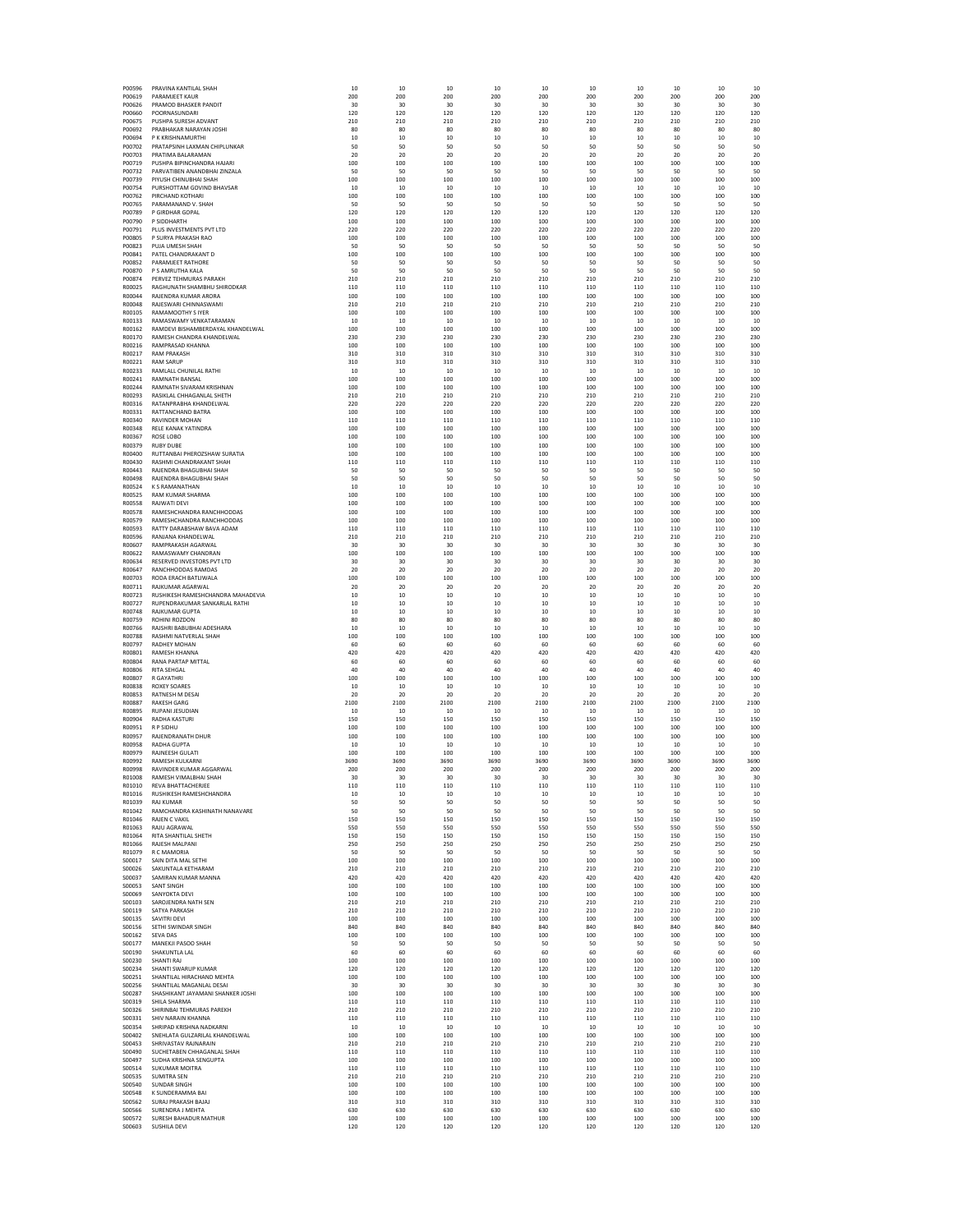| P00596           | PRAVINA KANTILAL SHAH                                          | 10<br>200    | 10<br>200     | 10<br>200  | 10<br>200    | 10<br>200   | 10<br>200    | 10<br>200  | 10<br>200     | 10<br>200    | 10<br>200  |
|------------------|----------------------------------------------------------------|--------------|---------------|------------|--------------|-------------|--------------|------------|---------------|--------------|------------|
| P00619<br>P00626 | PARAMJEET KAUR<br>PRAMOD BHASKER PANDIT                        | 30           | 30            | 30         | 30           | 30          | 30           | 30         | 30            | 30           | 30         |
| P00660           | POORNASUNDARI                                                  | 120          | 120           | 120        | 120          | 120         | 120          | 120        | 120           | 120          | 120        |
| P00675           | PUSHPA SURESH ADVANT                                           | 210          | 210           | 210        | 210          | 210         | 210          | 210        | 210           | 210          | 210        |
| P00692           | PRABHAKAR NARAYAN JOSHI                                        | 80           | 80            | 80         | 80           | 80          | 80           | 80         | 80            | 80           | 80         |
| P00694<br>P00702 | P K KRISHNAMURTHI<br>PRATAPSINH LAXMAN CHIPLUNKAR              | 10<br>50     | 10<br>50      | 10<br>50   | 10<br>50     | 10<br>50    | 10<br>50     | 10<br>50   | 10<br>50      | 10<br>50     | 10<br>50   |
| P00703           | PRATIMA BALARAMAN                                              | 20           | 20            | 20         | 20           | 20          | -20          | 20         | 20            | 20           | 20         |
| P00719           | PUSHPA BIPINCHANDRA HAJARI                                     | 100          | 100           | 100        | 100          | 100         | 100          | 100        | 100           | 100          | 100        |
| P00732           | PARVATIBEN ANANDBHAI ZINZALA                                   | 50           | 50            | 50         | 50           | 50          | 50           | 50         | 50            | 50           | 50         |
| P00739<br>P00754 | PIYUSH CHINUBHAI SHAH<br>PURSHOTTAM GOVIND BHAVSAR             | 100<br>10    | 100<br>10     | 100<br>10  | 100<br>10    | 100<br>10   | 100<br>10    | 100<br>10  | 100<br>10     | 100<br>10    | 100<br>10  |
| P00762           | PIRCHAND KOTHARI                                               | 100          | 100           | 100        | 100          | 100         | 100          | 100        | 100           | 100          | 100        |
| P00765           | PARAMANAND V. SHAH                                             | 50           | 50            | 50         | 50           | 50          | 50           | 50         | 50            | 50           | 50         |
| P00789           | P GIRDHAR GOPAL                                                | 120          | 120           | 120        | 120          | 120         | 120          | 120        | 120           | 120          | 120        |
| P00790           | P SIDDHARTH                                                    | 100          | 100           | 100        | 100          | 100         | 100          | 100        | 100           | 100          | 100        |
| P00791           | PLUS INVESTMENTS PVT LTD                                       | 220          | 220           | 220        | 220          | 220         | 220          | 220        | 220           | 220          | 220        |
| P00805<br>P00823 | P SURYA PRAKASH RAO<br>PUJA UMESH SHAH                         | 100<br>50    | 100<br>50     | 100<br>50  | 100<br>50    | 100<br>50   | 100<br>50    | 100<br>50  | 100<br>50     | 100<br>50    | 100<br>50  |
| P00841           | PATEL CHANDRAKANT D                                            | 100          | 100           | 100        | 100          | 100         | 100          | 100        | 100           | 100          | 100        |
| P00852           | PARAMJEET RATHORE                                              | 50           | 50            | 50         | 50           | 50          | 50           | 50         | 50            | 50           | 50         |
| P00870           | P S AMRUTHA KALA                                               | 50           | 50            | 50         | 50           | 50          | 50           | 50         | 50            | 50           | 50         |
| P00874<br>R00025 | PERVEZ TEHMURAS PARAKH<br>RAGHUNATH SHAMBHU SHIRODKAR          | 210          | 210           | 210<br>110 | 210<br>110   | 210<br>110  | 210<br>110   | 210<br>110 | 210<br>110    | 210          | 210<br>110 |
| R00044           | RAJENDRA KUMAR ARORA                                           | 110<br>100   | 110<br>100    | 100        | 100          | 100         | 100          | 100        | 100           | 110<br>100   | 100        |
| R00048           | RAJESWARI CHINNASWAMI                                          | 210          | 210           | 210        | 210          | 210         | 210          | 210        | 210           | 210          | 210        |
| R00105           | RAMAMOOTHY S IYER                                              | 100          | 100           | 100        | 100          | 100         | 100          | 100        | 100           | 100          | 100        |
| R00133           | RAMASWAMY VENKATARAMAN                                         | 10           | 10            | 10         | 10           | 10          | 10           | 10         | 10            | 10           | 10         |
| R00162<br>R00170 | RAMDEVI BISHAMBERDAYAL KHANDELWAL<br>RAMESH CHANDRA KHANDELWAL | 100<br>230   | 100<br>230    | 100<br>230 | 100<br>230   | 100<br>230  | 100<br>230   | 100<br>230 | 100<br>230    | 100<br>230   | 100<br>230 |
| R00216           | <b>RAMPRASAD KHANNA</b>                                        | 100          | 100           | 100        | 100          | 100         | 100          | 100        | 100           | 100          | 100        |
| R00217           | <b>RAM PRAKASH</b>                                             | 310          | 310           | 310        | 310          | 310         | 310          | 310        | 310           | 310          | 310        |
| R00221           | <b>RAM SARUP</b>                                               | 310          | 310           | 310        | 310          | 310         | 310          | 310        | 310           | 310          | 310        |
| R00233           | RAMLALL CHUNILAL RATHI                                         | 10           | 10            | 10         | 10           | 10          | 10           | 10         | 10            | 10           | 10         |
| R00241           | <b>RAMNATH BANSAL</b>                                          | 100          | 100           | 100        | 100          | 100         | 100          | 100        | 100<br>100    | 100          | 100        |
| R00244<br>R00293 | RAMNATH SIVARAM KRISHNAN<br>RASIKLAL CHHAGANLAL SHETH          | 100<br>210   | 100<br>210    | 100<br>210 | 100<br>210   | 100<br>210  | 100<br>210   | 100<br>210 | 210           | 100<br>210   | 100<br>210 |
| R00316           | RATANPRABHA KHANDELWAL                                         | 220          | 220           | 220        | 220          | 220         | 220          | 220        | 220           | 220          | 220        |
| R00331           | RATTANCHAND BATRA                                              | 100          | 100           | 100        | 100          | 100         | 100          | 100        | 100           | 100          | 100        |
| R00340           | <b>RAVINDER MOHAN</b>                                          | 110          | 110           | 110        | 110          | 110         | 110          | 110        | 110           | 110          | 110        |
| R00348<br>R00367 | RELE KANAK YATINDRA<br>ROSE LOBO                               | 100<br>100   | 100<br>100    | 100<br>100 | 100<br>100   | 100<br>100  | 100<br>100   | 100<br>100 | 100<br>100    | 100<br>100   | 100<br>100 |
| R00379           | <b>RURY DURF</b>                                               | 100          | 100           | 100        | 100          | 100         | 100          | 100        | 100           | 100          | 100        |
| R00400           | RUTTANBAI PHEROZSHAW SURATIA                                   | 100          | 100           | 100        | 100          | 100         | 100          | 100        | 100           | 100          | 100        |
| R00430           | RASHMI CHANDRAKANT SHAH                                        | 110          | 110           | 110        | 110          | 110         | 110          | 110        | 110           | 110          | 110        |
| R00443           | RAJENDRA BHAGUBHAI SHAH                                        | 50           | 50            | 50         | 50           | 50          | 50           | 50         | 50            | 50           | 50         |
| R00498           | RAJENDRA BHAGUBHAI SHAH                                        | 50           | 50            | 50         | 50           | 50          | 50           | 50         | 50            | 50           | 50         |
| R00524<br>R00525 | K S RAMANATHAN<br><b>RAM KUMAR SHARMA</b>                      | 10<br>100    | $10\,$<br>100 | 10<br>100  | 10<br>100    | $10$<br>100 | $10$<br>100  | 10<br>100  | $10\,$<br>100 | 10<br>100    | 10<br>100  |
| R00558           | RAJWATI DEVI                                                   | 100          | 100           | 100        | 100          | 100         | 100          | 100        | 100           | 100          | 100        |
| R00578           | RAMESHCHANDRA RANCHHODDAS                                      | 100          | 100           | 100        | 100          | 100         | 100          | 100        | 100           | 100          | 100        |
| R00579           | RAMESHCHANDRA RANCHHODDAS                                      | 100          | 100           | 100        | 100          | 100         | 100          | 100        | 100           | 100          | 100        |
| R00593           | <b>RATTY DARARSHAW BAVA ADAM</b>                               | 110          | 110           | 110        | 110          | 110         | 110          | 110        | 110           | 110          | 110        |
| R00596<br>R00607 | RANJANA KHANDELWAL<br>RAMPRAKASH AGARWAL                       | 210<br>30    | 210<br>30     | 210<br>30  | 210<br>30    | 210<br>30   | 210<br>30    | 210<br>30  | 210<br>30     | 210<br>30    | 210<br>30  |
| R00622           | RAMASWAMY CHANDRAN                                             | 100          | 100           | 100        | 100          | 100         | 100          | 100        | 100           | 100          | 100        |
| R00634           | RESERVED INVESTORS PVT LTD                                     | 30           | 30            | 30         | 30           | 30          | 30           | 30         | 30            | 30           | 30         |
| R00647           | RANCHHODDAS RAMDAS                                             | 20           | 20            | 20         | 20           | 20          | -20          | 20         | 20            | 20           | 20         |
| R00703           | RODA ERACH BATLIWALA                                           | 100          | 100           | 100        | 100          | 100         | 100          | 100        | 100           | 100          | 100        |
| R00711<br>R00723 | RAJKUMAR AGARWAL<br>RUSHIKESH RAMESHCHANDRA MAHADEVIA          | 20<br>$10\,$ | 20<br>10      | 20<br>$10$ | 20<br>$10\,$ | 20<br>$10$  | 20<br>$10\,$ | 20<br>10   | 20<br>$10\,$  | 20<br>$10\,$ | 20<br>10   |
| R00727           | RUPENDRAKUMAR SANKARLAL RATHI                                  | 10           | 10            | 10         | 10           | 10          | 10           | 10         | 10            | 10           | 10         |
| R00748           | RAJKUMAR GUPTA                                                 | 10           | 10            | 10         | 10           | 10          | 10           | 10         | 10            | 10           | 10         |
| R00759           | ROHINI ROZDON                                                  | 80           | 80            | 80         | 80           | 80          | 80           | 80         | 80            | 80           | 80         |
| R00766           | RAJSHRI BABUBHAI ADESHARA                                      | 10           | 10            | 10         | 10           | 10          | 10           | 10         | 10            | 10           | 10         |
| R00788<br>R00797 | RASHMI NATVERLAL SHAH<br><b>RADHEY MOHAN</b>                   | 100<br>60    | 100<br>60     | 100<br>-60 | 100<br>60    | 100<br>60   | 100<br>-60   | 100<br>60  | 100<br>60     | 100<br>60    | 100<br>60  |
| R00801           | RAMESH KHANNA                                                  | 420          | 420           | 420        | 420          | 420         | 420          | 420        | 420           | 420          | 420        |
| R00804           | RANA PARTAP MITTAL                                             | 60           | 60            | 60         | 60           | 60          | 60           | 60         | 60            | 60           | 60         |
| R00806           | <b>RITA SEHGAL</b>                                             | $40\,$       | 40            | 40         | 40           | 40          | 40           | 40         | 40            | 40           | 40         |
| R00807           | <b>R GAYATHRI</b>                                              | 100          | 100           | 100        | 100          | 100         | 100          | 100        | 100           | 100          | 100        |
| R00838           | <b>ROXEY SOARES</b>                                            | 10           | 10            | 10         | 10           | 10          | 10           | 10         | 10            | 10           | 10         |
| R00853<br>R00887 | RATNESH M DESA<br><b>RAKESH GARG</b>                           | 20<br>2100   | 20<br>2100    | 20<br>2100 | 20<br>2100   | 20<br>2100  | 20<br>2100   | 20<br>2100 | 20<br>2100    | 20<br>2100   | 20<br>2100 |
| R00895           | RUPANI JESUDIAN                                                | 10           | 10            | 10         | 10           | 10          | 10           | 10         | 10            | 10           | 10         |
| R00904           | <b>RADHA KASTURI</b>                                           | 150          | 150           | 150        | 150          | 150         | 150          | 150        | 150           | 150          | 150        |
| R00951           | R P SIDHU                                                      | 100          | 100           | 100        | 100          | 100         | 100          | 100        | 100           | 100          | 100        |
| R00957<br>R00958 | RAJENDRANATH DHUR<br><b>RADHA GUPTA</b>                        | 100<br>10    | 100<br>10     | 100<br>10  | 100<br>10    | 100<br>10   | 100<br>10    | 100<br>10  | 100<br>10     | 100<br>10    | 100<br>10  |
| R00979           | RAINEESH GULATI                                                | 100          | 100           | 100        | 100          | 100         | 100          | 100        | 100           | 100          | 100        |
| R00992           | <b>RAMESH KULKARNI</b>                                         | 3690         | 3690          | 3690       |              |             |              |            |               | 3690         | 3690       |
| R00998           | RAVINDER KUMAR AGGARWAL                                        | 200          | 200           |            | 3690         | 3690        | 3690         | 3690       | 3690          |              | 200        |
| R01008           | RAMESH VIMALBHAI SHAH                                          |              |               | 200        | 200          | 200         | 200          | 200        | 200           | 200          |            |
| RO1010<br>R01016 |                                                                | 30           | 30            | 30         | 30           | 30          | 30           | 30         | 30            | 30           | 30         |
| R01039           | KEVA BHATTACHEKJE                                              | 110          | 110           | 110        | 110          | 110         | 110          | 110        | 110           | 110          |            |
| R01042           | RUSHIKESH RAMESHCHANDRA<br><b>RAJ KUMAR</b>                    | 10<br>50     | 10<br>50      | 10<br>50   | 10<br>50     | 10<br>50    | 10<br>50     | 10<br>50   | 10<br>50      | 10<br>50     | 10<br>50   |
|                  | RAMCHANDRA KASHINATH NANAVARE                                  | 50           | 50            | 50         | 50           | 50          | 50           | 50         | 50            | 50           | 50         |
| R01046           | <b>RAJEN C VAKIL</b>                                           | 150          | 150           | 150        | 150          | 150         | 150          | 150        | 150           | 150          | 150        |
| R01063           | RAJU AGRAWAL                                                   | 550          | 550           | 550        | 550          | 550         | 550          | 550        | 550           | 550          | 550        |
| R01064           | <b>RITA SHANTILAL SHETH</b><br>RAJESH MALPANI                  | 150          | 150           | 150        | 150          | 150         | 150          | 150        | 150           | 150          | 150        |
| R01066<br>R01079 | R C MAMORIA                                                    | 250<br>50    | 250<br>50     | 250<br>-50 | 250<br>50    | 250<br>50   | 250<br>50    | 250<br>50  | 250<br>50     | 250<br>50    | 250<br>-50 |
| S00017           | SAIN DITA MAL SETHI                                            | 100          | 100           | 100        | 100          | 100         | 100          | 100        | 100           | 100          | 100        |
| S00026           | SAKUNTALA KETHARAM                                             | 210          | 210           | 210        | 210          | 210         | 210          | 210        | 210           | 210          | 210        |
| S00037           | SAMIRAN KUMAR MANNA                                            | 420          | 420           | 420        | 420          | 420         | 420          | 420        | 420           | 420          | 420        |
| S00053           | SANT SINGH<br>SANYOKTA DEVI                                    | 100          | 100           | 100        | 100          | 100         | 100          | 100        | 100<br>100    | 100          | 100        |
| S00069<br>S00103 | SAROJENDRA NATH SEN                                            | 100<br>210   | 100<br>210    | 100<br>210 | 100<br>210   | 100<br>210  | 100<br>210   | 100<br>210 | 210           | 100<br>210   | 100<br>210 |
| S00119           | SATYA PARKASH                                                  | 210          | 210           | 210        | 210          | 210         | 210          | 210        | 210           | 210          | 210        |
| S00135           | SAVITRI DEVI                                                   | 100          | 100           | 100        | 100          | 100         | 100          | 100        | 100           | 100          | 100        |
| S00156           | SETHI SWINDAR SINGH                                            | 840          | 840           | 840        | 840          | 840         | 840          | 840        | 840           | 840          | 840        |
| S00162<br>S00177 | <b>SEVA DAS</b><br>MANEKJI PASOO SHAH                          | 100<br>50    | 100<br>50     | 100<br>50  | 100<br>50    | 100<br>50   | 100<br>50    | 100<br>50  | 100<br>50     | 100<br>50    | 100<br>50  |
| S00190           | SHAKUNTLA LAL                                                  | 60           | 60            | 60         | 60           | 60          | 60           | 60         | 60            | 60           | 60         |
| S00230           | SHANTI RAJ                                                     | 100          | 100           | 100        | 100          | 100         | 100          | 100        | 100           | 100          | 100        |
| S00234           | SHANTI SWARUP KUMAR                                            | 120          | 120           | 120        | 120          | 120         | 120          | 120        | 120           | 120          | 120        |
| S00251           | SHANTILAL HIRACHAND MEHTA                                      | 100          | 100           | 100        | 100          | 100         | 100          | 100        | 100           | 100          | 100        |
| S00256<br>S00287 | SHANTILAL MAGANLAL DESAI<br>SHASHIKANT JAYAMANI SHANKER JOSHI  | 30<br>100    | 30<br>100     | 30<br>100  | 30<br>100    | 30<br>100   | 30<br>100    | 30<br>100  | 30<br>100     | 30<br>100    | 30<br>100  |
| S00319           | SHILA SHARMA                                                   | 110          | 110           | 110        | 110          | 110         | 110          | 110        | 110           | 110          | 110        |
| S00326           | SHIRINBAI TEHMURAS PAREKH                                      | 210          | 210           | 210        | 210          | 210         | 210          | 210        | 210           | 210          | 210        |
| S00331           | SHIV NARAIN KHANNA                                             | 110          | 110           | 110        | 110          | 110         | 110          | 110        | 110           | 110          | 110        |
| S00354           | SHRIPAD KRISHNA NADKARNI                                       | 10           | 10            | 10         | 10           | 10          | 10           | 10         | 10            | 10           | 10         |
| S00402<br>S00453 | SNEHLATA GULZARILAL KHANDELWAL<br>SHRIVASTAV RAJNARAIN         | 100<br>210   | 100<br>210    | 100<br>210 | 100<br>210   | 100<br>210  | 100<br>210   | 100<br>210 | 100<br>210    | 100<br>210   | 100<br>210 |
| S00490           | SUCHETABEN CHHAGANLAL SHAH                                     | 110          | 110           | 110        | 110          | 110         | 110          | 110        | 110           | 110          | 110        |
| S00497           | SUDHA KRISHNA SENGUPTA                                         | 100          | 100           | 100        | 100          | 100         | 100          | 100        | 100           | 100          | 100        |
| S00514           | SUKUMAR MOITRA                                                 | 110          | 110           | 110        | 110          | 110         | 110          | 110        | 110           | 110          | 110        |
| S00535           | <b>SUMITRA SEN</b>                                             | 210          | 210           | 210        | 210          | 210         | 210          | 210        | 210           | 210          | 210        |
| S00540<br>S00548 | <b>SUNDAR SINGH</b><br>K SUNDERAMMA BAI                        | 100<br>100   | 100<br>100    | 100<br>100 | 100<br>100   | 100<br>100  | 100<br>100   | 100<br>100 | 100<br>100    | 100<br>100   | 100<br>100 |
| S00562           | <b>SURAJ PRAKASH BAJAJ</b>                                     | 310          | 310           | 310        | 310          | 310         | 310          | 310        | 310           | 310          | 310        |
| S00566           | SURENDRA J MEHTA                                               | 630          | 630           | 630        | 630          | 630         | 630          | 630        | 630           | 630          | 630        |
| S00572<br>S00603 | SURESH BAHADUR MATHUR<br><b>SUSHILA DEVI</b>                   | 100<br>120   | 100<br>120    | 100<br>120 | 100<br>120   | 100<br>120  | 100<br>120   | 100<br>120 | 100<br>120    | 100<br>120   | 100<br>120 |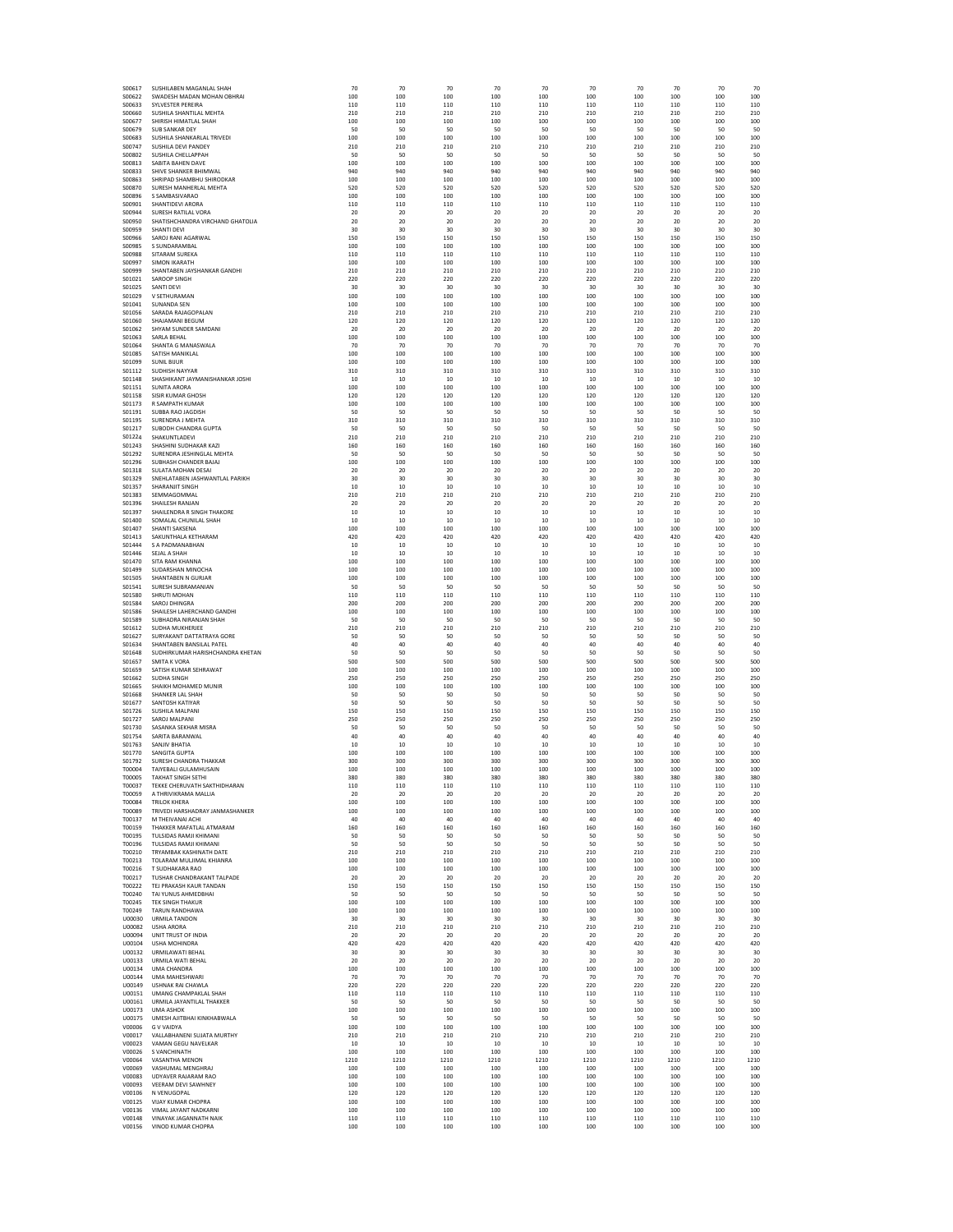| S00617                  | SUSHILAREN MAGANLAL SHAH                                | 70          | 70          | 70          | 70          | 70          | 70          | 70          | 70          | 70          | 70          |
|-------------------------|---------------------------------------------------------|-------------|-------------|-------------|-------------|-------------|-------------|-------------|-------------|-------------|-------------|
| S00622                  | SWADESH MADAN MOHAN OBHRAI                              | 100         | 100         | 100         | 100         | 100         | 100         | 100         | 100         | 100         | 100         |
| S00633                  | <b>SYLVESTER PEREIRA</b>                                | 110         | 110         | 110         | 110         | 110         | 110         | 110         | 110         | 110         | 110         |
| S00660                  | SUSHILA SHANTILAL MEHTA                                 | 210         | 210         | 210         | 210         | 210         | 210         | 210         | 210         | 210         | 210         |
| S00677<br>S00679        | SHIRISH HIMATLAL SHAH<br>SUB SANKAR DEY                 | 100<br>50   | 100<br>50   | 100<br>50   | 100<br>50   | 100<br>50   | 100<br>50   | 100<br>50   | 100<br>50   | 100<br>50   | 100<br>50   |
| \$00683                 | SUSHILA SHANKARLAL TRIVEDI                              | 100         | 100         | 100         | 100         | 100         | 100         | 100         | 100         | 100         | 100         |
| S00747                  | SUSHILA DEVI PANDEY                                     | 210         | 210         | 210         | 210         | 210         | 210         | 210         | 210         | 210         | 210         |
| \$00802                 | SUSHILA CHELLAPPAH                                      | 50          | 50          | 50          | 50          | 50          | 50          | 50          | 50          | 50          | 50          |
| S00813<br>S00833        | <b>SARITA RAHEN DAVE</b><br>SHIVE SHANKER BHIMWAL       | 100<br>940  | 100<br>940  | 100<br>940  | 100<br>940  | 100<br>940  | 100<br>940  | 100<br>940  | 100<br>940  | 100<br>940  | 100<br>940  |
| S00863                  | SHRIPAD SHAMBHU SHIRODKAR                               | 100         | 100         | 100         | 100         | 100         | 100         | 100         | 100         | 100         | 100         |
| S00870                  | SURESH MANHERLAL MEHTA                                  | 520         | 520         | 520         | 520         | 520         | 520         | 520         | 520         | 520         | 520         |
| S00896                  | S SAMBASIVARAO                                          | 100         | 100         | 100         | 100         | 100         | 100         | 100         | 100         | 100         | 100         |
| S00901                  | SHANTIDEVI ARORA                                        | 110         | 110         | 110         | 110         | 110         | 110         | 110         | 110         | 110         | 110         |
| S00944                  | SURESH RATILAL VORA                                     | 20          | 20          | 20          | 20          | 20          | 20          | 20          | 20          | 20          | 20          |
| S00950<br><b>S00959</b> | SHATISHCHANDRA VIRCHAND GHATOLIA<br>SHANTI DEVI         | 20<br>30    | 20<br>30    | 20<br>30    | 20<br>30    | 20<br>30    | 20<br>30    | 20<br>30    | 20<br>30    | 20<br>30    | 20<br>30    |
| S00966                  | SAROJ RANJ AGARWAL                                      | 150         | 150         | 150         | 150         | 150         | 150         | 150         | 150         | 150         | 150         |
| S00985                  | S SUNDARAMBAL                                           | 100         | 100         | 100         | 100         | 100         | 100         | 100         | 100         | 100         | 100         |
| <b>S00988</b>           | <b>SITARAM SUREKA</b>                                   | 110         | 110         | 110         | 110         | 110         | 110         | 110         | 110         | 110         | 110         |
| S00997                  | <b>SIMON IKARATH</b>                                    | 100         | 100         | 100         | 100         | 100         | 100         | 100         | 100         | 100         | 100         |
| S00999                  | SHANTABEN JAYSHANKAR GANDHI                             | 210         | 210         | 210         | 210         | 210         | 210         | 210         | 210         | 210         | 210<br>220  |
| S01021<br>S01025        | SAROOP SINGH<br>SANTI DEVI                              | 220<br>30   | 220<br>30   | 220<br>30   | 220<br>30   | 220<br>30   | 220<br>30   | 220<br>30   | 220<br>30   | 220<br>30   | 30          |
| S01029                  | V SETHURAMAN                                            | 100         | 100         | 100         | 100         | 100         | 100         | 100         | 100         | 100         | 100         |
| S01041                  | <b>SUNANDA SEN</b>                                      | 100         | 100         | 100         | 100         | 100         | 100         | 100         | 100         | 100         | 100         |
| S01056                  | SARADA RAJAGOPALAN                                      | 210         | 210         | 210         | 210         | 210         | 210         | 210         | 210         | 210         | 210         |
| S01060                  | SHAJAMANI BEGUM                                         | 120<br>20   | 120<br>20   | 120<br>20   | 120<br>20   | 120<br>20   | 120<br>20   | 120         | 120<br>20   | 120         | 120<br>20   |
| S01062<br>S01063        | SHYAM SUNDER SAMDANI<br>SARLA BEHAL                     | 100         | 100         | 100         | 100         | 100         | 100         | 20<br>100   | 100         | 20<br>100   | 100         |
| \$01064                 | SHANTA G MANASWALA                                      | 70          | 70          | 70          | 70          | 70          | 70          | 70          | 70          | 70          | 70          |
| S01085                  | SATISH MANIKLAL                                         | 100         | 100         | 100         | 100         | 100         | 100         | 100         | 100         | 100         | 100         |
| S01099                  | <b>SUNIL BIJUR</b>                                      | 100         | 100         | 100         | 100         | 100         | 100         | 100         | 100         | 100         | 100         |
| S01112                  | SUDHISH NAYYAR                                          | 310         | 310         | 310         | 310         | 310         | 310         | 310         | 310         | 310         | 310         |
| S01148                  | SHASHIKANT JAYMANISHANKAR JOSHI<br><b>SUNITA ARORA</b>  | 10<br>100   | 10<br>100   | 10<br>100   | 10<br>100   | $10$<br>100 | 10<br>100   | 10<br>100   | 10<br>100   | 10<br>100   | 10<br>100   |
| S01151<br>S01158        | <b>SISIR KUMAR GHOSH</b>                                | 120         | 120         | 120         | 120         | 120         | 120         | 120         | 120         | 120         | 120         |
| S01173                  | R SAMPATH KUMAR                                         | 100         | 100         | 100         | 100         | 100         | 100         | 100         | 100         | 100         | 100         |
| S01191                  | SUBBA RAO JAGDISH                                       | 50          | 50          | -50         | 50          | 50          | -50         | -50         | 50          | 50          | 50          |
| S01195                  | <b>SURENDRA J MEHTA</b>                                 | 310         | 310         | 310         | 310         | 310         | 310         | 310         | 310         | 310         | 310         |
| S01217<br>S01224        | SUBODH CHANDRA GUPTA<br>SHAKUNTLADEVI                   | -50<br>210  | 50<br>210   | -50<br>210  | 50<br>210   | 50<br>210   | -50<br>210  | -50<br>210  | 50<br>210   | 50<br>210   | -50<br>210  |
| S01243                  | SHASHINI SUDHAKAR KAZI                                  | 160         | 160         | 160         | 160         | 160         | 160         | 160         | 160         | 160         | 160         |
| S01292                  | SURENDRA JESHINGLAL MEHTA                               | 50          | 50          | 50          | 50          | 50          | 50          | 50          | 50          | 50          | 50          |
| S01296                  | SUBHASH CHANDER BAJAJ                                   | 100         | 100         | 100         | 100         | 100         | 100         | 100         | 100         | 100         | 100         |
| S01318                  | SULATA MOHAN DESAI                                      | 20          | 20          | 20          | 20          | 20          | 20          | 20          | 20          | 20          | 20          |
| S01329                  | SNEHLATABEN JASHWANTLAL PARIKH                          | 30          | 30          | 30          | 30          | 30          | 30          | 30          | 30          | 30          | 30          |
| S01357<br>S01383        | SHARANJIT SINGH<br>SEMMAGOMMAL                          | 10<br>210   | 10<br>210   | 10<br>210   | 10<br>210   | 10<br>210   | 10<br>210   | 10<br>210   | 10<br>210   | 10<br>210   | 10<br>210   |
| S01396                  | SHAILESH RANJAN                                         | 20          | 20          | -20         | 20          | 20          | -20         | 20          | 20          | 20          | 20          |
| S01397                  | SHAILENDRA R SINGH THAKORE                              | 10          | 10          | 10          | 10          | 10          | 10          | 10          | 10          | 10          | 10          |
| S01400                  | SOMALAL CHUNILAL SHAH                                   | 10          | 10          | 10          | 10          | 10          | 10          | 10          | 10          | 10          | 10          |
| S01407                  | SHANTI SAKSENA                                          | 100         | 100         | 100         | 100         | 100         | 100         | 100         | 100         | 100         | 100         |
| S01413<br>S01444        | SAKUNTHALA KETHARAM<br>S A PADMANABHAN                  | 420<br>10   | 420<br>10   | 420<br>10   | 420<br>10   | 420<br>10   | 420<br>10   | 420<br>10   | 420<br>10   | 420<br>10   | 420<br>10   |
| S01446                  | SEJAL A SHAH                                            | 10          | 10          | 10          | 10          | 10          | 10          | 10          | 10          | 10          | 10          |
| S01470                  | SITA RAM KHANNA                                         | 100         | 100         | 100         | 100         | 100         | 100         | 100         | 100         | 100         | 100         |
| S01499                  | SUDARSHAN MINOCHA                                       | 100         | 100         | 100         | 100         | 100         | 100         | 100         | 100         | 100         | 100         |
| S01505                  | SHANTABEN N GURJAR                                      | 100         | 100         | 100         | 100         | 100         | 100         | 100         | 100         | 100         | 100         |
| S01541                  | SURESH SUBRAMANIAN                                      | 50          | 50          | 50          | 50          | 50          | 50          | 50          | 50          | 50          | 50          |
| <b>S01580</b><br>S01584 | SHRUTI MOHAN<br>SAROJ DHINGRA                           | 110<br>200  | 110<br>200  | 110<br>200  | 110<br>200  | 110<br>200  | 110<br>200  | 110<br>200  | 110<br>200  | 110<br>200  | 110<br>200  |
| <b>S01586</b>           | SHAILESH LAHERCHAND GANDHI                              | 100         | 100         | 100         | 100         | 100         | 100         | 100         | 100         | 100         | 100         |
| S01589                  | SUBHADRA NIRANJAN SHAH                                  | -50         | -50         | -50         | -50         | 50          | -50         | 50          | 50          | 50          | 50          |
| S01612                  | SUDHA MUKHERJEE                                         | 210         | 210         | 210         | 210         | 210         | 210         | 210         | 210         | 210         | 210         |
| S01627                  | SURYAKANT DATTATRAYA GORE                               | 50          | 50          | 50          | 50          | 50          | -50         | 50          | 50          | 50          | 50          |
| S01634                  | SHANTABEN BANSILAL PATEL                                | 40          | 40          | 40          | 40          | $40\,$      | 40          | 40          | 40          | 40          | 40          |
| S01648<br>S01657        | SUDHIRKUMAR HARISHCHANDRA KHETAN<br><b>SMITA K VORA</b> | 50<br>500   | 50<br>500   | 50<br>500   | 50<br>500   | 50<br>500   | 50<br>500   | 50<br>500   | 50<br>500   | 50<br>500   | 50<br>500   |
| S01659                  | SATISH KUMAR SEHRAWAT                                   | 100         | 100         | 100         | 100         | 100         | 100         | 100         | 100         | 100         | 100         |
| S01662                  | <b>SUDHA SINGH</b>                                      | 250         | 250         | 250         | 250         | 250         | 250         | 250         | 250         | 250         | 250         |
| S01665                  | SHAIKH MOHAMED MUNIR                                    | 100         | 100         | 100         | 100         | 100         | 100         | 100         | 100         | 100         | 100         |
| S01668                  | SHANKER LAI SHAH                                        | -50         | 50          | -50         | 50          | 50          | -50         | 50          | 50          | 50          | 50          |
| S01677<br>S01726        | SANTOSH KATIYAR<br>SUSHILA MALPANI                      | 50<br>150   | 50<br>150   | 50<br>150   | 50<br>150   | 50<br>150   | 50<br>150   | 50<br>150   | 50<br>150   | 50<br>150   | 50<br>150   |
| S01727                  | SAROJ MALPANI                                           | 250         | 250         | 250         | 250         | 250         | 250         | 250         | 250         | 250         | 250         |
| S01730                  | SASANKA SEKHAR MISRA                                    | 50          | 50          | 50          | 50          | 50          | 50          | 50          | 50          | 50          | 50          |
| S01754                  | SARITA BARANWAL                                         | 40          | 40          | 40          | 40          | 40          | 40          | 40          | 40          | 40          | 40          |
| S01763                  | SANJIV BHATIA                                           | 10          | 10          | 10          | 10          | 10          | 10          | 10          | 10          | 10          | 10          |
| S01770<br>S01792        | SANGITA GUPTA<br>SURESH CHANDRA THAKKAR                 | 100<br>300  | 100<br>300  | 100<br>300  | 100<br>300  | 100<br>300  | 100<br>300  | 100<br>300  | 100<br>300  | 100<br>300  | 100<br>300  |
| T00004                  | TAIYERALI GUI AMHUSAIN                                  | 100         | 100         | 100         | 100         | 100         | 100         | 100         | 100         | 100         | 100         |
| T00005                  | <b>TAKHAT SINGH SETHI</b>                               | 380         | 380         | 380         | 380         | 380         | 380         | 380         | 380         | 380         | 380         |
| T00037                  | TEKKE CHERUVATH SAKTHIDHARAN                            | 110         | 110         | 110         | 110         | 110         | 110         | 110         | 110         | 110         | 110         |
| T00059                  | A THRIVIKRAMA MALLIA                                    | 20          | 20          | 20          | 20          | 20          | 20          | 20          | 20          | 20          | 20          |
| T00084<br>T00089        | <b>TRILOK KHERA</b><br>TRIVEDI HARSHADRAY JANMASHANKER  | 100<br>100  | 100<br>100  | 100<br>100  | 100<br>100  | 100<br>100  | 100<br>100  | 100<br>100  | 100<br>100  | 100<br>100  | 100<br>100  |
| T00137                  | M THEIVANAI ACHI                                        | 40          | 40          | 40          | 40          | 40          | 40          | 40          | 40          | 40          | 40          |
| T00159                  | THAKKER MAFATLAL ATMARAM                                | 160         | 160         | 160         | 160         | 160         | 160         | 160         | 160         | 160         | 160         |
| T00195                  | TULSIDAS RAMJI KHIMANI                                  | 50          | 50          | 50          | 50          | 50          | 50          | 50          | 50          | 50          | 50          |
| T00196                  | TULSIDAS RAMJI KHIMANI<br>TRYAMBAK KASHINATH DATE       | 50          | 50          | 50          | 50          | 50          | -50         | 50          | 50          | 50          | 50          |
| T00210<br>T00213        | TOLARAM MULJIMAL KHIANRA                                | 210<br>100  | 210<br>100  | 210<br>100  | 210<br>100  | 210<br>100  | 210<br>100  | 210<br>100  | 210<br>100  | 210<br>100  | 210<br>100  |
| T00216                  | T SUDHAKARA RAO                                         | 100         | 100         | 100         | 100         | 100         | 100         | 100         | 100         | 100         | 100         |
| T00217                  | TUSHAR CHANDRAKANT TALPADE                              | 20          | 20          | 20          | 20          | 20          | 20          | 20          | 20          | 20          | 20          |
| T00222                  | TEJ PRAKASH KAUR TANDAN                                 | 150         | 150         | 150         | 150         | 150         | 150         | 150         | 150         | 150         | 150         |
| T00240                  | TAI YUNUS AHMEDBHAI                                     | 50          | 50          | 50          | 50          | 50          | 50          | 50          | 50          | 50          | 50          |
| T00245<br>T00249        | <b>TEK SINGH THAKUR</b><br>TARUN RANDHAWA               | 100<br>100  | 100<br>100  | 100<br>100  | 100<br>100  | 100<br>100  | 100<br>100  | 100<br>100  | 100<br>100  | 100<br>100  | 100<br>100  |
| U00030                  | <b>URMILA TANDON</b>                                    | 30          | 30          | 30          | 30          | 30          | 30          | 30          | 30          | 30          | 30          |
| U00082                  | <b>USHA ARORA</b>                                       | 210         | 210         | 210         | 210         | 210         | 210         | 210         | 210         | 210         | 210         |
| U00094                  | UNIT TRUST OF INDIA                                     | 20          | 20          | 20          | 20          | 20          | 20          | 20          | 20          | 20          | 20          |
| U00104                  | <b>USHA MOHINDRA</b>                                    | 420         | 420         | 420         | 420         | 420         | 420         | 420         | 420         | 420         | 420         |
| U00132<br>U00133        | <b>URMILAWATI BEHAL</b><br>URMILA WATI BEHAL            | 30<br>20    | 30<br>20    | 30<br>20    | 30<br>20    | 30<br>20    | 30<br>20    | 30<br>20    | 30<br>20    | 30<br>20    | 30<br>20    |
| U00134                  | UMA CHANDRA                                             | 100         | 100         | 100         | 100         | 100         | 100         | 100         | 100         | 100         | 100         |
| U00144                  | UMA MAHESHWARI                                          | 70          | 70          | 70          | 70          | 70          | 70          | 70          | 70          | 70          | 70          |
| U00149                  | USHNAK RAI CHAWLA                                       | 220         | 220         | 220         | 220         | 220         | 220         | 220         | 220         | 220         | 220         |
| U00151                  | UMANG CHAMPAKLAL SHAH                                   | 110         | 110         | 110         | 110         | 110         | 110         | 110         | 110         | 110         | 110         |
| U00161<br>U00173        | URMILA JAYANTILAL THAKKER<br><b>UMA ASHOK</b>           | 50<br>100   | 50<br>100   | 50<br>100   | 50<br>100   | 50<br>100   | 50<br>100   | 50<br>100   | 50<br>100   | 50<br>100   | 50<br>100   |
| U00175                  | UMESH AJITBHAI KINKHABWALA                              | 50          | 50          | 50          | 50          | 50          | 50          | 50          | 50          | 50          | 50          |
| V00006                  | <b>G V VAIDYA</b>                                       | 100         | 100         | 100         | 100         | 100         | 100         | 100         | 100         | 100         | 100         |
| V00017                  | VALLABHANENI SUJATA MURTHY                              | 210         | 210         | 210         | 210         | 210         | 210         | 210         | 210         | 210         | 210         |
| V00023                  | VAMAN GEGU NAVELKAR                                     | 10          | 10          | 10          | 10          | 10          | 10          | 10          | 10          | 10          | 10          |
| V00026<br>V00064        | <b>S VANCHINATH</b><br>VASANTHA MENON                   | 100<br>1210 | 100<br>1210 | 100<br>1210 | 100<br>1210 | 100<br>1210 | 100<br>1210 | 100<br>1210 | 100<br>1210 | 100<br>1210 | 100<br>1210 |
| V00069                  | VASHUMAL MENGHRAJ                                       | 100         | 100         | 100         | 100         | 100         | 100         | 100         | 100         | 100         | 100         |
| V00083                  | UDYAVER RAJARAM RAO                                     | 100         | 100         | 100         | 100         | 100         | 100         | 100         | 100         | 100         | 100         |
| V00093                  | VEERAM DEVI SAWHNEY                                     | 100         | 100         | 100         | 100         | 100         | 100         | 100         | 100         | 100         | 100         |
| V00106                  | N VENUGOPAL                                             | 120         | 120         | 120         | 120         | 120         | 120         | 120         | 120         | 120         | 120         |
| V00125<br>V00136        | <b>VIJAY KUMAR CHOPRA</b><br>VIMAL JAYANT NADKARNI      | 100<br>100  | 100<br>100  | 100<br>100  | 100<br>100  | 100<br>100  | 100<br>100  | 100<br>100  | 100<br>100  | 100<br>100  | 100<br>100  |
| V00148                  | VINAYAK JAGANNATH NAIK                                  | 110         | 110         | 110         | 110         | 110         | 110         | 110         | 110         | 110         | 110         |
| V00156                  | VINOD KUMAR CHOPRA                                      | 100         | 100         | 100         | 100         | 100         | 100         | 100         | 100         | 100         | 100         |
|                         |                                                         |             |             |             |             |             |             |             |             |             |             |